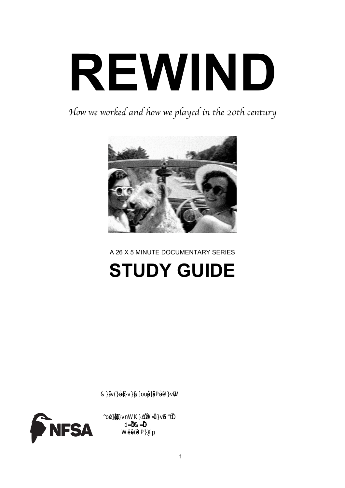# **REWIND**

*How we worked and how we played in the 20th century*



A 26 X 5 MINUTE DOCUMENTARY SERIES

# **STUDY GUIDE**

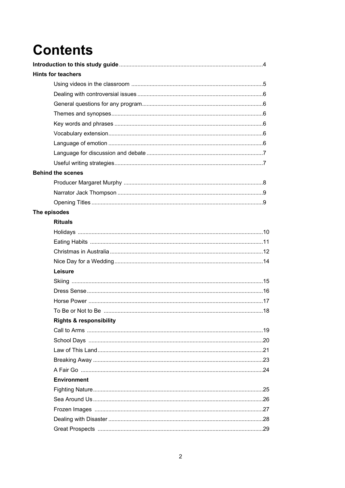# **Contents**

| <b>Hints for teachers</b>                                                                                                                                                                                                              |  |
|----------------------------------------------------------------------------------------------------------------------------------------------------------------------------------------------------------------------------------------|--|
|                                                                                                                                                                                                                                        |  |
|                                                                                                                                                                                                                                        |  |
|                                                                                                                                                                                                                                        |  |
|                                                                                                                                                                                                                                        |  |
|                                                                                                                                                                                                                                        |  |
|                                                                                                                                                                                                                                        |  |
|                                                                                                                                                                                                                                        |  |
|                                                                                                                                                                                                                                        |  |
|                                                                                                                                                                                                                                        |  |
| <b>Behind the scenes</b>                                                                                                                                                                                                               |  |
|                                                                                                                                                                                                                                        |  |
|                                                                                                                                                                                                                                        |  |
|                                                                                                                                                                                                                                        |  |
| The episodes                                                                                                                                                                                                                           |  |
| <b>Rituals</b>                                                                                                                                                                                                                         |  |
|                                                                                                                                                                                                                                        |  |
|                                                                                                                                                                                                                                        |  |
|                                                                                                                                                                                                                                        |  |
|                                                                                                                                                                                                                                        |  |
| Leisure                                                                                                                                                                                                                                |  |
|                                                                                                                                                                                                                                        |  |
|                                                                                                                                                                                                                                        |  |
|                                                                                                                                                                                                                                        |  |
|                                                                                                                                                                                                                                        |  |
| <b>Rights &amp; responsibility and the set of the set of the set of the set of the set of the set of the set of the set of the set of the set of the set of the set of the set of the set of the set of the set of the set of the </b> |  |
|                                                                                                                                                                                                                                        |  |
|                                                                                                                                                                                                                                        |  |
|                                                                                                                                                                                                                                        |  |
|                                                                                                                                                                                                                                        |  |
|                                                                                                                                                                                                                                        |  |
| <b>Environment</b>                                                                                                                                                                                                                     |  |
|                                                                                                                                                                                                                                        |  |
|                                                                                                                                                                                                                                        |  |
|                                                                                                                                                                                                                                        |  |
|                                                                                                                                                                                                                                        |  |
|                                                                                                                                                                                                                                        |  |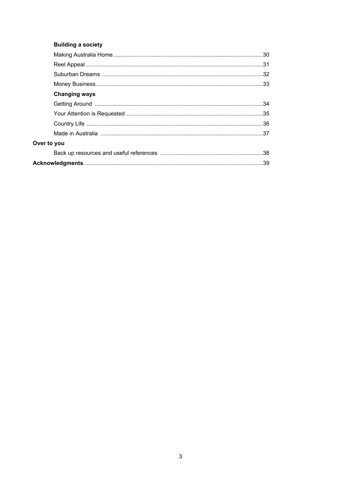|             | <b>Building a society</b> |  |
|-------------|---------------------------|--|
|             |                           |  |
|             |                           |  |
|             |                           |  |
|             |                           |  |
|             | <b>Changing ways</b>      |  |
|             |                           |  |
|             |                           |  |
|             |                           |  |
|             |                           |  |
| Over to you |                           |  |
|             |                           |  |
|             |                           |  |
|             |                           |  |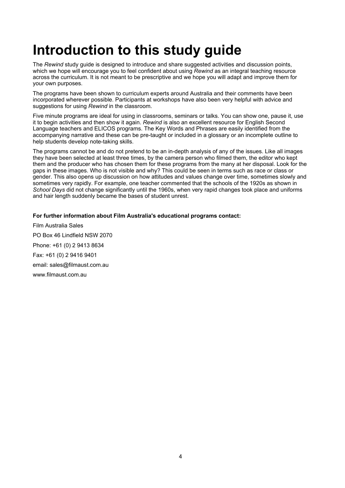# **Introduction to this study guide**

The *Rewind* study guide is designed to introduce and share suggested activities and discussion points, which we hope will encourage you to feel confident about using *Rewind* as an integral teaching resource across the curriculum. It is not meant to be prescriptive and we hope you will adapt and improve them for your own purposes.

The programs have been shown to curriculum experts around Australia and their comments have been incorporated wherever possible. Participants at workshops have also been very helpful with advice and suggestions for using *Rewind* in the classroom.

Five minute programs are ideal for using in classrooms, seminars or talks. You can show one, pause it, use it to begin activities and then show it again. *Rewind* is also an excellent resource for English Second Language teachers and ELICOS programs. The Key Words and Phrases are easily identified from the accompanying narrative and these can be pre-taught or included in a glossary or an incomplete outline to help students develop note-taking skills.

The programs cannot be and do not pretend to be an in-depth analysis of any of the issues. Like all images they have been selected at least three times, by the camera person who filmed them, the editor who kept them and the producer who has chosen them for these programs from the many at her disposal. Look for the gaps in these images. Who is not visible and why? This could be seen in terms such as race or class or gender. This also opens up discussion on how attitudes and values change over time, sometimes slowly and sometimes very rapidly. For example, one teacher commented that the schools of the 1920s as shown in *School Days* did not change significantly until the 1960s, when very rapid changes took place and uniforms and hair length suddenly became the bases of student unrest.

#### **For further information about Film Australia's educational programs contact:**

Film Australia Sales PO Box 46 Lindfield NSW 2070 Phone: +61 (0) 2 9413 8634 Fax: +61 (0) 2 9416 9401 email: sales@filmaust.com.au www.filmaust.com.au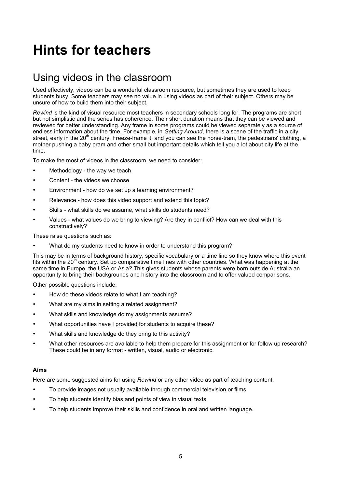# **Hints for teachers**

### Using videos in the classroom

Used effectively, videos can be a wonderful classroom resource, but sometimes they are used to keep students busy. Some teachers may see no value in using videos as part of their subject. Others may be unsure of how to build them into their subject.

*Rewind* is the kind of visual resource most teachers in secondary schools long for. The programs are short but not simplistic and the series has coherence. Their short duration means that they can be viewed and reviewed for better understanding. Any frame in some programs could be viewed separately as a source of endless information about the time. For example, in *Getting Around*, there is a scene of the traffic in a city street, early in the 20<sup>th</sup> century. Freeze-frame it, and you can see the horse-tram, the pedestrians' clothing, a mother pushing a baby pram and other small but important details which tell you a lot about city life at the time.

To make the most of videos in the classroom, we need to consider:

- Methodology the way we teach
- Content the videos we choose
- Environment how do we set up a learning environment?
- Relevance how does this video support and extend this topic?
- Skills what skills do we assume, what skills do students need?
- Values what values do we bring to viewing? Are they in conflict? How can we deal with this constructively?

These raise questions such as:

What do my students need to know in order to understand this program?

This may be in terms of background history, specific vocabulary or a time line so they know where this event fits within the 20<sup>th</sup> century. Set up comparative time lines with other countries. What was happening at the same time in Europe, the USA or Asia? This gives students whose parents were born outside Australia an opportunity to bring their backgrounds and history into the classroom and to offer valued comparisons.

Other possible questions include:

- How do these videos relate to what I am teaching?
- What are my aims in setting a related assignment?
- What skills and knowledge do my assignments assume?
- What opportunities have I provided for students to acquire these?
- What skills and knowledge do they bring to this activity?
- What other resources are available to help them prepare for this assignment or for follow up research? These could be in any format - written, visual, audio or electronic.

#### **Aims**

Here are some suggested aims for using *Rewind* or any other video as part of teaching content.

- To provide images not usually available through commercial television or films.
- To help students identify bias and points of view in visual texts.
- To help students improve their skills and confidence in oral and written language.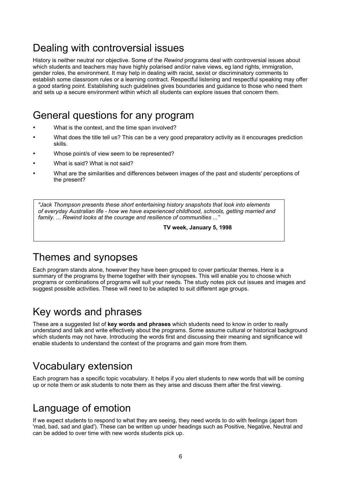### Dealing with controversial issues

History is neither neutral nor objective. Some of the *Rewind* programs deal with controversial issues about which students and teachers may have highly polarised and/or naive views, eg land rights, immigration, gender roles, the environment. It may help in dealing with racist, sexist or discriminatory comments to establish some classroom rules or a learning contract. Respectful listening and respectful speaking may offer a good starting point. Establishing such guidelines gives boundaries and guidance to those who need them and sets up a secure environment within which all students can explore issues that concern them.

### General questions for any program

- What is the context, and the time span involved?
- What does the title tell us? This can be a very good preparatory activity as it encourages prediction skills.
- Whose point/s of view seem to be represented?
- What is said? What is not said?
- What are the similarities and differences between images of the past and students' perceptions of the present?

*"Jack Thompson presents these short entertaining history snapshots that look into elements of everyday Australian life - how we have experienced childhood, schools, getting married and family. ... Rewind looks at the courage and resilience of communities ..."*

**TV week, January 5, 1998**

### Themes and synopses

Each program stands alone, however they have been grouped to cover particular themes. Here is a summary of the programs by theme together with their synopses. This will enable you to choose which programs or combinations of programs will suit your needs. The study notes pick out issues and images and suggest possible activities. These will need to be adapted to suit different age groups.

### Key words and phrases

These are a suggested list of **key words and phrases** which students need to know in order to really understand and talk and write effectively about the programs. Some assume cultural or historical background which students may not have. Introducing the words first and discussing their meaning and significance will enable students to understand the context of the programs and gain more from them.

### Vocabulary extension

Each program has a specific topic vocabulary. It helps if you alert students to new words that will be coming up or note them or ask students to note them as they arise and discuss them after the first viewing.

### Language of emotion

If we expect students to respond to what they are seeing, they need words to do with feelings (apart from 'mad, bad, sad and glad'). These can be written up under headings such as Positive, Negative, Neutral and can be added to over time with new words students pick up.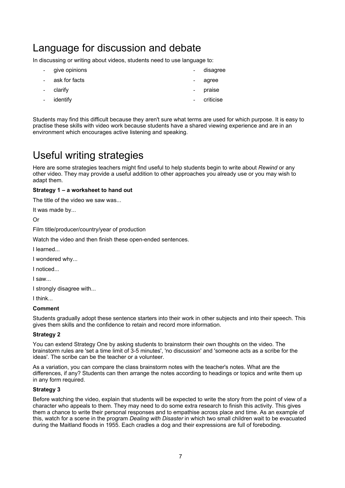### Language for discussion and debate

In discussing or writing about videos, students need to use language to:

- give opinions
- ask for facts
- clarify
- identify
- disagree
- agree
- praise
- criticise

Students may find this difficult because they aren't sure what terms are used for which purpose. It is easy to practise these skills with video work because students have a shared viewing experience and are in an environment which encourages active listening and speaking.

### Useful writing strategies

Here are some strategies teachers might find useful to help students begin to write about *Rewind* or any other video. They may provide a useful addition to other approaches you already use or you may wish to adapt them.

#### **Strategy 1 – a worksheet to hand out**

The title of the video we saw was...

It was made by...

Or

Film title/producer/country/year of production

Watch the video and then finish these open-ended sentences.

I learned...

I wondered why...

I noticed...

I saw...

I strongly disagree with...

I think...

#### **Comment**

Students gradually adopt these sentence starters into their work in other subjects and into their speech. This gives them skills and the confidence to retain and record more information.

#### **Strategy 2**

You can extend Strategy One by asking students to brainstorm their own thoughts on the video. The brainstorm rules are 'set a time limit of 3-5 minutes', 'no discussion' and 'someone acts as a scribe for the ideas'. The scribe can be the teacher or a volunteer.

As a variation, you can compare the class brainstorm notes with the teacher's notes. What are the differences, if any? Students can then arrange the notes according to headings or topics and write them up in any form required.

#### **Strategy 3**

Before watching the video, explain that students will be expected to write the story from the point of view of a character who appeals to them. They may need to do some extra research to finish this activity. This gives them a chance to write their personal responses and to empathise across place and time. As an example of this, watch for a scene in the program *Dealing with Disaster* in which two small children wait to be evacuated during the Maitland floods in 1955. Each cradles a dog and their expressions are full of foreboding.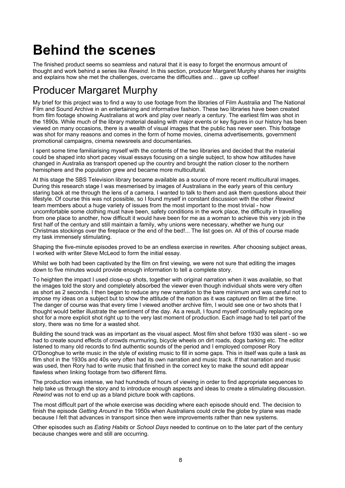# **Behind the scenes**

The finished product seems so seamless and natural that it is easy to forget the enormous amount of thought and work behind a series like *Rewind*. In this section, producer Margaret Murphy shares her insights and explains how she met the challenges, overcame the difficulties and… gave up coffee!

### Producer Margaret Murphy

My brief for this project was to find a way to use footage from the libraries of Film Australia and The National Film and Sound Archive in an entertaining and informative fashion. These two libraries have been created from film footage showing Australians at work and play over nearly a century. The earliest film was shot in the 1890s. While much of the library material dealing with major events or key figures in our history has been viewed on many occasions, there is a wealth of visual images that the public has never seen. This footage was shot for many reasons and comes in the form of home movies, cinema advertisements, government promotional campaigns, cinema newsreels and documentaries.

I spent some time familiarising myself with the contents of the two libraries and decided that the material could be shaped into short pacey visual essays focusing on a single subject, to show how attitudes have changed in Australia as transport opened up the country and brought the nation closer to the northern hemisphere and the population grew and became more multicultural.

At this stage the SBS Television library became available as a source of more recent multicultural images. During this research stage I was mesmerised by images of Australians in the early years of this century staring back at me through the lens of a camera. I wanted to talk to them and ask them questions about their lifestyle. Of course this was not possible, so I found myself in constant discussion with the other *Rewind* team members about a huge variety of issues from the most important to the most trivial - how uncomfortable some clothing must have been, safety conditions in the work place, the difficulty in travelling from one place to another, how difficult it would have been for me as a woman to achieve this very job in the first half of the century and still maintain a family, why unions were necessary, whether we hung our Christmas stockings over the fireplace or the end of the bed!... The list goes on. All of this of course made my task immensely stimulating.

Shaping the five-minute episodes proved to be an endless exercise in rewrites. After choosing subject areas, I worked with writer Steve McLeod to form the initial essay.

Whilst we both had been captivated by the film on first viewing, we were not sure that editing the images down to five minutes would provide enough information to tell a complete story.

To heighten the impact I used close-up shots, together with original narration when it was available, so that the images told the story and completely absorbed the viewer even though individual shots were very often as short as 2 seconds. I then began to reduce any new narration to the bare minimum and was careful not to impose my ideas on a subject but to show the attitude of the nation as it was captured on film at the time. The danger of course was that every time I viewed another archive film, I would see one or two shots that I thought would better illustrate the sentiment of the day. As a result, I found myself continually replacing one shot for a more explicit shot right up to the very last moment of production. Each image had to tell part of the story, there was no time for a wasted shot.

Building the sound track was as important as the visual aspect. Most film shot before 1930 was silent - so we had to create sound effects of crowds murmuring, bicycle wheels on dirt roads, dogs barking etc. The editor listened to many old records to find authentic sounds of the period and I employed composer Rory O'Donoghue to write music in the style of existing music to fill in some gaps. This in itself was quite a task as film shot in the 1930s and 40s very often had its own narration and music track. If that narration and music was used, then Rory had to write music that finished in the correct key to make the sound edit appear flawless when linking footage from two different films.

The production was intense, we had hundreds of hours of viewing in order to find appropriate sequences to help take us through the story and to introduce enough aspects and ideas to create a stimulating discussion. *Rewind* was not to end up as a bland picture book with captions.

The most difficult part of the whole exercise was deciding where each episode should end. The decision to finish the episode *Getting Around* in the 1950s when Australians could circle the globe by plane was made because I felt that advances in transport since then were improvements rather than new systems.

Other episodes such as *Eating Habits* or *School Days* needed to continue on to the later part of the century because changes were and still are occurring.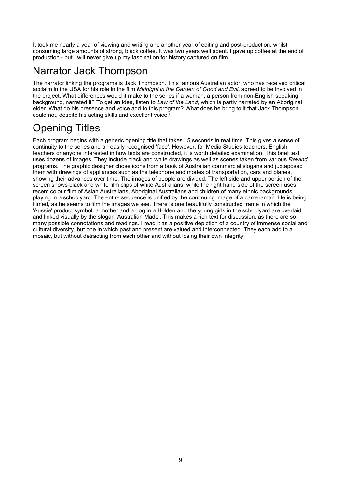It took me nearly a year of viewing and writing and another year of editing and post-production, whilst consuming large amounts of strong, black coffee. It was two years well spent. I gave up coffee at the end of production - but I will never give up my fascination for history captured on film.

### Narrator Jack Thompson

The narrator linking the programs is Jack Thompson. This famous Australian actor, who has received critical acclaim in the USA for his role in the film *Midnight in the Garden of Good and Evil***,** agreed to be involved in the project. What differences would it make to the series if a woman, a person from non-English speaking background, narrated it? To get an idea, listen to *Law of the Land*, which is partly narrated by an Aboriginal elder. What do his presence and voice add to this program? What does he bring to it that Jack Thompson could not, despite his acting skills and excellent voice?

### Opening Titles

Each program begins with a generic opening title that takes 15 seconds in real time. This gives a sense of continuity to the series and an easily recognised 'face'. However, for Media Studies teachers, English teachers or anyone interested in how texts are constructed, it is worth detailed examination. This brief text uses dozens of images. They include black and white drawings as well as scenes taken from various *Rewind* programs. The graphic designer chose icons from a book of Australian commercial slogans and juxtaposed them with drawings of appliances such as the telephone and modes of transportation, cars and planes, showing their advances over time. The images of people are divided. The left side and upper portion of the screen shows black and white film clips of white Australians, while the right hand side of the screen uses recent colour film of Asian Australians, Aboriginal Australians and children of many ethnic backgrounds playing in a schoolyard. The entire sequence is unified by the continuing image of a cameraman. He is being filmed, as he seems to film the images we see. There is one beautifully constructed frame in which the 'Aussie' product symbol, a mother and a dog in a Holden and the young girls in the schoolyard are overlaid and linked visually by the slogan 'Australian Made'. This makes a rich text for discussion, as there are so many possible connotations and readings. I read it as a positive depiction of a country of immense social and cultural diversity, but one in which past and present are valued and interconnected. They each add to a mosaic, but without detracting from each other and without losing their own integrity.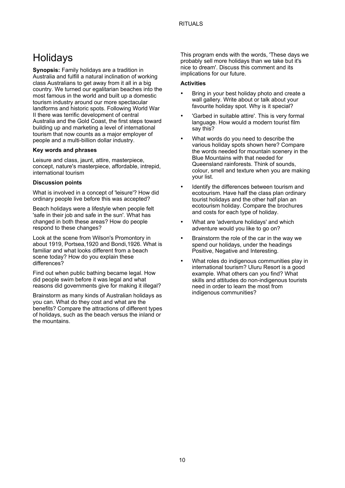### Holidays

**Synopsis:** Family holidays are a tradition in Australia and fulfill a natural inclination of working class Australians to get away from it all in a big country. We turned our egalitarian beaches into the most famous in the world and built up a domestic tourism industry around our more spectacular landforms and historic spots. Following World War II there was terrific development of central Australia and the Gold Coast, the first steps toward building up and marketing a level of international tourism that now counts as a major employer of people and a multi-billion dollar industry.

#### **Key words and phrases**

Leisure and class, jaunt, attire, masterpiece, concept, nature's masterpiece, affordable, intrepid, international tourism

#### **Discussion points**

What is involved in a concept of 'leisure'? How did ordinary people live before this was accepted?

Beach holidays were a lifestyle when people felt 'safe in their job and safe in the sun'. What has changed in both these areas? How do people respond to these changes?

Look at the scene from Wilson's Promontory in about 1919, Portsea,1920 and Bondi,1926. What is familiar and what looks different from a beach scene today? How do you explain these differences?

Find out when public bathing became legal. How did people swim before it was legal and what reasons did governments give for making it illegal?

Brainstorm as many kinds of Australian holidays as you can. What do they cost and what are the benefits? Compare the attractions of different types of holidays, such as the beach versus the inland or the mountains.

This program ends with the words, 'These days we probably sell more holidays than we take but it's nice to dream'. Discuss this comment and its implications for our future.

- Bring in your best holiday photo and create a wall gallery. Write about or talk about your favourite holiday spot. Why is it special?
- 'Garbed in suitable attire'. This is very formal language. How would a modern tourist film say this?
- What words do you need to describe the various holiday spots shown here? Compare the words needed for mountain scenery in the Blue Mountains with that needed for Queensland rainforests. Think of sounds, colour, smell and texture when you are making your list.
- Identify the differences between tourism and ecotourism. Have half the class plan ordinary tourist holidays and the other half plan an ecotourism holiday. Compare the brochures and costs for each type of holiday.
- What are 'adventure holidays' and which adventure would you like to go on?
- Brainstorm the role of the car in the way we spend our holidays, under the headings Positive, Negative and Interesting.
- What roles do indigenous communities play in international tourism? Uluru Resort is a good example. What others can you find? What skills and attitudes do non-indigenous tourists need in order to learn the most from indigenous communities?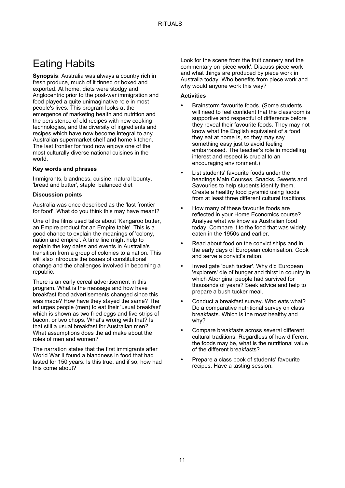### Eating Habits

**Synopsis**: Australia was always a country rich in fresh produce, much of it tinned or boxed and exported. At home, diets were stodgy and Anglocentric prior to the post-war immigration and food played a quite unimaginative role in most people's lives. This program looks at the emergence of marketing health and nutrition and the persistence of old recipes with new cooking technologies, and the diversity of ingredients and recipes which have now become integral to any Australian supermarket shelf and home kitchen. The last frontier for food now enjoys one of the most culturally diverse national cuisines in the world.

#### **Key words and phrases**

Immigrants, blandness, cuisine, natural bounty, 'bread and butter', staple, balanced diet

#### **Discussion points**

Australia was once described as the 'last frontier for food'. What do you think this may have meant?

One of the films used talks about 'Kangaroo butter, an Empire product for an Empire table'. This is a good chance to explain the meanings of 'colony, nation and empire'. A time line might help to explain the key dates and events in Australia's transition from a group of colonies to a nation. This will also introduce the issues of constitutional change and the challenges involved in becoming a republic.

There is an early cereal advertisement in this program. What is the message and how have breakfast food advertisements changed since this was made? How have they stayed the same? The ad urges people (men) to eat their 'usual breakfast' which is shown as two fried eggs and five strips of bacon, or two chops. What's wrong with that? Is that still a usual breakfast for Australian men? What assumptions does the ad make about the roles of men and women?

The narration states that the first immigrants after World War II found a blandness in food that had lasted for 150 years. Is this true, and if so, how had this come about?

Look for the scene from the fruit cannery and the commentary on 'piece work'. Discuss piece work and what things are produced by piece work in Australia today. Who benefits from piece work and why would anyone work this way?

- Brainstorm favourite foods. (Some students will need to feel confident that the classroom is supportive and respectful of difference before they reveal their favourite foods. They may not know what the English equivalent of a food they eat at home is, so they may say something easy just to avoid feeling embarrassed. The teacher's role in modelling interest and respect is crucial to an encouraging environment.)
- List students' favourite foods under the headings Main Courses, Snacks, Sweets and Savouries to help students identify them. Create a healthy food pyramid using foods from at least three different cultural traditions.
- How many of these favourite foods are reflected in your Home Economics course? Analyse what we know as Australian food today. Compare it to the food that was widely eaten in the 1950s and earlier.
- Read about food on the convict ships and in the early days of European colonisation. Cook and serve a convict's ration.
- Investigate 'bush tucker'. Why did European 'explorers' die of hunger and thirst in country in which Aboriginal people had survived for thousands of years? Seek advice and help to prepare a bush tucker meal.
- Conduct a breakfast survey. Who eats what? Do a comparative nutritional survey on class breakfasts. Which is the most healthy and why?
- Compare breakfasts across several different cultural traditions. Regardless of how different the foods may be, what is the nutritional value of the different breakfasts?
- Prepare a class book of students' favourite recipes. Have a tasting session.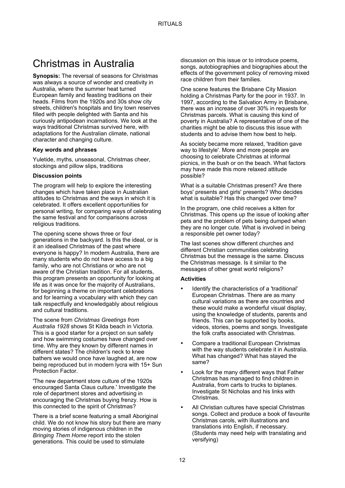### Christmas in Australia

**Synopsis:** The reversal of seasons for Christmas was always a source of wonder and creativity in Australia, where the summer heat turned European family and feasting traditions on their heads. Films from the 1920s and 30s show city streets, children's hospitals and tiny town reserves filled with people delighted with Santa and his curiously antipodean incarnations. We look at the ways traditional Christmas survived here, with adaptations for the Australian climate, national character and changing culture.

#### **Key words and phrases**

Yuletide, myths, unseasonal, Christmas cheer, stockings and pillow slips, traditions

#### **Discussion points**

The program will help to explore the interesting changes which have taken place in Australian attitudes to Christmas and the ways in which it is celebrated. It offers excellent opportunities for personal writing, for comparing ways of celebrating the same festival and for comparisons across religious traditions.

The opening scene shows three or four generations in the backyard. Is this the ideal, or is it an idealised Christmas of the past where everyone is happy? In modern Australia, there are many students who do not have access to a big family, who are not Christians or who are not aware of the Christian tradition. For all students, this program presents an opportunity for looking at life as it was once for the majority of Australians, for beginning a theme on important celebrations and for learning a vocabulary with which they can talk respectfully and knowledgably about religious and cultural traditions.

The scene from *Christmas Greetings from Australia 1928* shows St Kilda beach in Victoria. This is a good starter for a project on sun safety and how swimming costumes have changed over time. Why are they known by different names in different states? The children's neck to knee bathers we would once have laughed at, are now being reproduced but in modern lycra with 15+ Sun Protection Factor.

'The new department store culture of the 1920s encouraged Santa Claus culture.' Investigate the role of department stores and advertising in encouraging the Christmas buying frenzy. How is this connected to the spirit of Christmas?

There is a brief scene featuring a small Aboriginal child. We do not know his story but there are many moving stories of indigenous children in the *Bringing Them Home* report into the stolen generations. This could be used to stimulate

discussion on this issue or to introduce poems, songs, autobiographies and biographies about the effects of the government policy of removing mixed race children from their families.

One scene features the Brisbane City Mission holding a Christmas Party for the poor in 1937. In 1997, according to the Salvation Army in Brisbane, there was an increase of over 30% in requests for Christmas parcels. What is causing this kind of poverty in Australia? A representative of one of the charities might be able to discuss this issue with students and to advise them how best to help.

As society became more relaxed, 'tradition gave way to lifestyle'. More and more people are choosing to celebrate Christmas at informal picnics, in the bush or on the beach. What factors may have made this more relaxed attitude possible?

What is a suitable Christmas present? Are there boys' presents and girls' presents? Who decides what is suitable? Has this changed over time?

In the program, one child receives a kitten for Christmas. This opens up the issue of looking after pets and the problem of pets being dumped when they are no longer cute. What is involved in being a responsible pet owner today?

The last scenes show different churches and different Christian communities celebrating Christmas but the message is the same. Discuss the Christmas message. Is it similar to the messages of other great world religions?

- Identify the characteristics of a 'traditional' European Christmas. There are as many cultural variations as there are countries and these would make a wonderful visual display, using the knowledge of students, parents and friends. This can be supported by books, videos, stories, poems and songs. Investigate the folk crafts associated with Christmas.
- Compare a traditional European Christmas with the way students celebrate it in Australia. What has changed? What has stayed the same?
- Look for the many different ways that Father Christmas has managed to find children in Australia, from carts to trucks to biplanes. Investigate St Nicholas and his links with Christmas.
- All Christian cultures have special Christmas songs. Collect and produce a book of favourite Christmas carols, with illustrations and translations into English, if necessary. (Students may need help with translating and versifying)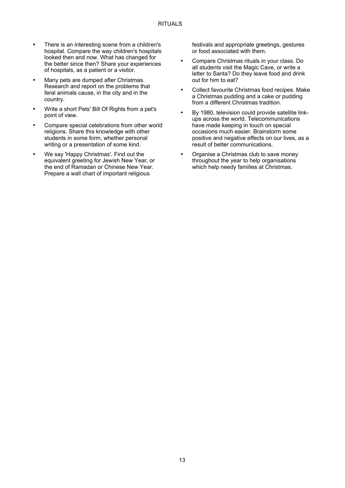- There is an interesting scene from a children's hospital. Compare the way children's hospitals looked then and now. What has changed for the better since then? Share your experiences of hospitals, as a patient or a visitor.
- Many pets are dumped after Christmas. Research and report on the problems that feral animals cause, in the city and in the country.
- Write a short Pets' Bill Of Rights from a pet's point of view.
- Compare special celebrations from other world religions. Share this knowledge with other students in some form, whether personal writing or a presentation of some kind.
- We say 'Happy Christmas'. Find out the equivalent greeting for Jewish New Year, or the end of Ramadan or Chinese New Year. Prepare a wall chart of important religious

festivals and appropriate greetings, gestures or food associated with them.

- Compare Christmas rituals in your class. Do all students visit the Magic Cave, or write a letter to Santa? Do they leave food and drink out for him to eat?
- Collect favourite Christmas food recipes. Make a Christmas pudding and a cake or pudding from a different Christmas tradition.
- By 1980, television could provide satellite linkups across the world. Telecommunications have made keeping in touch on special occasions much easier. Brainstorm some positive and negative effects on our lives, as a result of better communications.
- Organise a Christmas club to save money throughout the year to help organisations which help needy families at Christmas.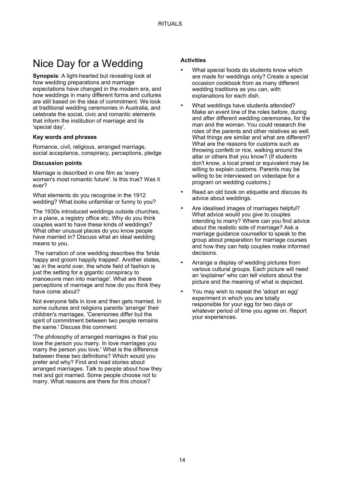### Nice Day for a Wedding

**Synopsis**: A light-hearted but revealing look at how wedding preparations and marriage expectations have changed in the modern era, and how weddings in many different forms and cultures are still based on the idea of commitment. We look at traditional wedding ceremonies in Australia, and celebrate the social, civic and romantic elements that inform the institution of marriage and its 'special day'.

#### **Key words and phrases**

Romance, civil, religious, arranged marriage, social acceptance, conspiracy, perceptions, pledge

#### **Discussion points**

Marriage is described in one film as 'every woman's most romantic future'. Is this true? Was it ever?

What elements do you recognise in the 1912 wedding? What looks unfamiliar or funny to you?

The 1930s introduced weddings outside churches, in a plane, a registry office etc. Why do you think couples want to have these kinds of weddings? What other unusual places do you know people have married in? Discuss what an ideal wedding means to you.

 The narration of one wedding describes the 'bride happy and groom happily trapped'. Another states, 'as in the world over, the whole field of fashion is just the setting for a gigantic conspiracy to manoeuvre men into marriage'. What are these perceptions of marriage and how do you think they have come about?

Not everyone falls in love and then gets married. In some cultures and religions parents 'arrange' their children's marriages. 'Ceremonies differ but the spirit of commitment between two people remains the same.' Discuss this comment.

'The philosophy of arranged marriages is that you love the person you marry. In love marriages you marry the person you love.' What is the difference between these two definitions? Which would you prefer and why? Find and read stories about arranged marriages. Talk to people about how they met and got married. Some people choose not to marry. What reasons are there for this choice?

- What special foods do students know which are made for weddings only? Create a special occasion cookbook from as many different wedding traditions as you can, with explanations for each dish.
- What weddings have students attended? Make an event line of the roles before, during and after different wedding ceremonies, for the man and the woman. You could research the roles of the parents and other relatives as well. What things are similar and what are different? What are the reasons for customs such as throwing confetti or rice, walking around the altar or others that you know? (If students don't know, a local priest or equivalent may be willing to explain customs. Parents may be willing to be interviewed on videotape for a program on wedding customs.)
- Read an old book on etiquette and discuss its advice about weddings.
- Are idealised images of marriages helpful? What advice would you give to couples intending to marry? Where can you find advice about the realistic side of marriage? Ask a marriage guidance counsellor to speak to the group about preparation for marriage courses and how they can help couples make informed decisions.
- Arrange a display of wedding pictures from various cultural groups. Each picture will need an 'explainer' who can tell visitors about the picture and the meaning of what is depicted.
- You may wish to repeat the 'adopt an egg' experiment in which you are totally responsible for your egg for two days or whatever period of time you agree on. Report your experiences.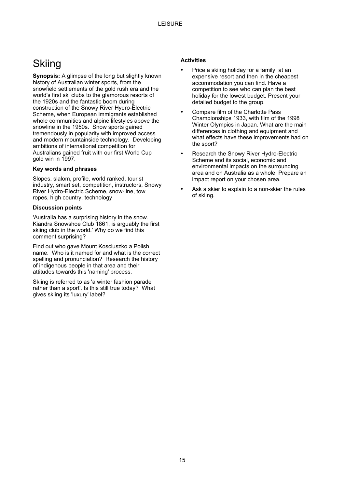### **Skiing**

**Synopsis:** A glimpse of the long but slightly known history of Australian winter sports, from the snowfield settlements of the gold rush era and the world's first ski clubs to the glamorous resorts of the 1920s and the fantastic boom during construction of the Snowy River Hydro-Electric Scheme, when European immigrants established whole communities and alpine lifestyles above the snowline in the 1950s. Snow sports gained tremendously in popularity with improved access and modern mountainside technology. Developing ambitions of international competition for Australians gained fruit with our first World Cup gold win in 1997.

#### **Key words and phrases**

Slopes, slalom, profile, world ranked, tourist industry, smart set, competition, instructors, Snowy River Hydro-Electric Scheme, snow-line, tow ropes, high country, technology

#### **Discussion points**

'Australia has a surprising history in the snow. Kiandra Snowshoe Club 1861, is arguably the first skiing club in the world.' Why do we find this comment surprising?

Find out who gave Mount Kosciuszko a Polish name. Who is it named for and what is the correct spelling and pronunciation? Research the history of indigenous people in that area and their attitudes towards this 'naming' process.

Skiing is referred to as 'a winter fashion parade rather than a sport'. Is this still true today? What gives skiing its 'luxury' label?

- Price a skiing holiday for a family, at an expensive resort and then in the cheapest accommodation you can find. Have a competition to see who can plan the best holiday for the lowest budget. Present your detailed budget to the group.
- Compare film of the Charlotte Pass Championships 1933, with film of the 1998 Winter Olympics in Japan. What are the main differences in clothing and equipment and what effects have these improvements had on the sport?
- Research the Snowy River Hydro-Electric Scheme and its social, economic and environmental impacts on the surrounding area and on Australia as a whole. Prepare an impact report on your chosen area.
- Ask a skier to explain to a non-skier the rules of skiing.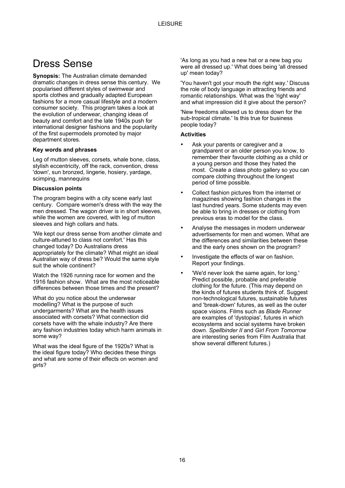### Dress Sense

**Synopsis:** The Australian climate demanded dramatic changes in dress sense this century. We popularised different styles of swimwear and sports clothes and gradually adapted European fashions for a more casual lifestyle and a modern consumer society. This program takes a look at the evolution of underwear, changing ideas of beauty and comfort and the late 1940s push for international designer fashions and the popularity of the first supermodels promoted by major department stores.

#### **Key words and phrases**

Leg of mutton sleeves, corsets, whale bone, class, stylish eccentricity, off the rack, convention, dress 'down', sun bronzed, lingerie, hosiery, yardage, scimping, mannequins

#### **Discussion points**

The program begins with a city scene early last century. Compare women's dress with the way the men dressed. The wagon driver is in short sleeves, while the women are covered, with leg of mutton sleeves and high collars and hats.

'We kept our dress sense from another climate and culture-attuned to class not comfort.' Has this changed today? Do Australians dress appropriately for the climate? What might an ideal Australian way of dress be? Would the same style suit the whole continent?

Watch the 1926 running race for women and the 1916 fashion show. What are the most noticeable differences between those times and the present?

What do you notice about the underwear modelling? What is the purpose of such undergarments? What are the health issues associated with corsets? What connection did corsets have with the whale industry? Are there any fashion industries today which harm animals in some way?

What was the ideal figure of the 1920s? What is the ideal figure today? Who decides these things and what are some of their effects on women and qirls?

'As long as you had a new hat or a new bag you were all dressed up.' What does being 'all dressed up' mean today?

'You haven't got your mouth the right way.' Discuss the role of body language in attracting friends and romantic relationships. What was the 'right way' and what impression did it give about the person?

'New freedoms allowed us to dress down for the sub-tropical climate.' Is this true for business people today?

- Ask your parents or caregiver and a grandparent or an older person you know, to remember their favourite clothing as a child or a young person and those they hated the most. Create a class photo gallery so you can compare clothing throughout the longest period of time possible.
- Collect fashion pictures from the internet or magazines showing fashion changes in the last hundred years. Some students may even be able to bring in dresses or clothing from previous eras to model for the class.
- Analyse the messages in modern underwear advertisements for men and women. What are the differences and similarities between these and the early ones shown on the program?
- Investigate the effects of war on fashion. Report your findings.
- 'We'd never look the same again, for long.' Predict possible, probable and preferable clothing for the future. (This may depend on the kinds of futures students think of. Suggest non-technological futures, sustainable futures and 'break-down' futures, as well as the outer space visions. Films such as *Blade Runner* are examples of 'dystopias', futures in which ecosystems and social systems have broken down. *Spellbinder II* and *Girl From Tomorrow* are interesting series from Film Australia that show several different futures.)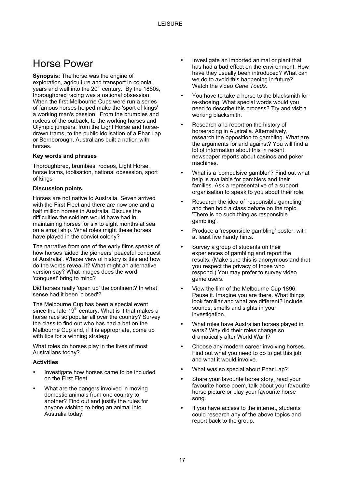### Horse Power

**Synopsis:** The horse was the engine of exploration, agriculture and transport in colonial years and well into the  $20<sup>th</sup>$  century. By the 1860s, thoroughbred racing was a national obsession. When the first Melbourne Cups were run a series of famous horses helped make the 'sport of kings' a working man's passion. From the brumbies and rodeos of the outback, to the working horses and Olympic jumpers; from the Light Horse and horsedrawn trams, to the public idolisation of a Phar Lap or Bernborough, Australians built a nation with horses.

#### **Key words and phrases**

Thoroughbred, brumbies, rodeos, Light Horse, horse trams, idolisation, national obsession, sport of kings

#### **Discussion points**

Horses are not native to Australia. Seven arrived with the First Fleet and there are now one and a half million horses in Australia. Discuss the difficulties the soldiers would have had in maintaining horses for six to eight months at sea on a small ship. What roles might these horses have played in the convict colony?

The narrative from one of the early films speaks of how horses 'aided the pioneers' peaceful conquest of Australia'. Whose view of history is this and how do the words reveal it? What might an alternative version say? What images does the word 'conquest' bring to mind?

Did horses really 'open up' the continent? In what sense had it been 'closed'?

The Melbourne Cup has been a special event since the late  $19<sup>th</sup>$  century. What is it that makes a horse race so popular all over the country? Survey the class to find out who has had a bet on the Melbourne Cup and, if it is appropriate, come up with tips for a winning strategy.

What roles do horses play in the lives of most Australians today?

- Investigate how horses came to be included on the First Fleet.
- What are the dangers involved in moving domestic animals from one country to another? Find out and justify the rules for anyone wishing to bring an animal into Australia today.
- Investigate an imported animal or plant that has had a bad effect on the environment. How have they usually been introduced? What can we do to avoid this happening in future? Watch the video *Cane Toads*.
- You have to take a horse to the blacksmith for re-shoeing. What special words would you need to describe this process? Try and visit a working blacksmith.
- Research and report on the history of horseracing in Australia. Alternatively, research the opposition to gambling. What are the arguments for and against? You will find a lot of information about this in recent newspaper reports about casinos and poker machines.
- What is a 'compulsive gambler'? Find out what help is available for gamblers and their families. Ask a representative of a support organisation to speak to you about their role.
- Research the idea of 'responsible gambling' and then hold a class debate on the topic, 'There is no such thing as responsible gambling'.
- Produce a 'responsible gambling' poster, with at least five handy hints.
- Survey a group of students on their experiences of gambling and report the results. (Make sure this is anonymous and that you respect the privacy of those who respond.) You may prefer to survey video game users.
- View the film of the Melbourne Cup 1896. Pause it. Imagine you are there. What things look familiar and what are different? Include sounds, smells and sights in your investigation.
- What roles have Australian horses played in wars? Why did their roles change so dramatically after World War I?
- Choose any modern career involving horses. Find out what you need to do to get this job and what it would involve.
- What was so special about Phar Lap?
- Share your favourite horse story, read your favourite horse poem, talk about your favourite horse picture or play your favourite horse song.
- If you have access to the internet, students could research any of the above topics and report back to the group.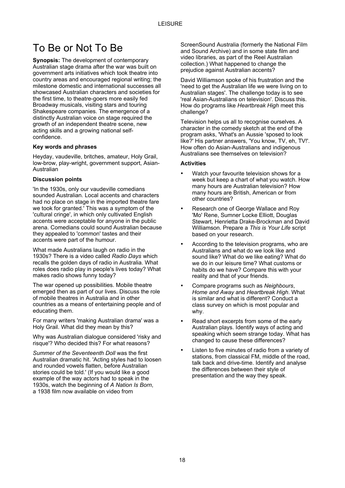### To Be or Not To Be

**Synopsis:** The development of contemporary Australian stage drama after the war was built on government arts initiatives which took theatre into country areas and encouraged regional writing; the milestone domestic and international successes all showcased Australian characters and societies for the first time, to theatre-goers more easily fed Broadway musicals, visiting stars and touring Shakespeare companies. The emergence of a distinctly Australian voice on stage required the growth of an independent theatre scene, new acting skills and a growing national selfconfidence.

#### **Key words and phrases**

Heyday, vaudeville, britches, amateur, Holy Grail, low-brow, play-wright, government support, Asian-Australian

#### **Discussion points**

'In the 1930s, only our vaudeville comedians sounded Australian. Local accents and characters had no place on stage in the imported theatre fare we took for granted.' This was a symptom of the 'cultural cringe', in which only cultivated English accents were acceptable for anyone in the public arena. Comedians could sound Australian because they appealed to 'common' tastes and their accents were part of the humour.

What made Australians laugh on radio in the 1930s? There is a video called *Radio Days* which recalls the golden days of radio in Australia. What roles does radio play in people's lives today? What makes radio shows funny today?

The war opened up possibilities. Mobile theatre emerged then as part of our lives. Discuss the role of mobile theatres in Australia and in other countries as a means of entertaining people and of educating them.

For many writers 'making Australian drama' was a Holy Grail. What did they mean by this?

Why was Australian dialogue considered 'risky and risque'? Who decided this? For what reasons?

*Summer of the Seventeenth Doll* was the first Australian dramatic hit. 'Acting styles had to loosen and rounded vowels flatten, before Australian stories could be told.' (If you would like a good example of the way actors had to speak in the 1930s, watch the beginning of *A Nation Is Born*, a 1938 film now available on video from

ScreenSound Australia (formerly the National Film and Sound Archive) and in some state film and video libraries, as part of the Reel Australian collection.) What happened to change the prejudice against Australian accents?

David Williamson spoke of his frustration and the 'need to get the Australian life we were living on to Australian stages'. The challenge today is to see 'real Asian-Australians on television'. Discuss this. How do programs like *Heartbreak High* meet this challenge?

Television helps us all to recognise ourselves. A character in the comedy sketch at the end of the program asks, 'What's an Aussie 'sposed to look like?' His partner answers, 'You know, TV, eh, TV!'. How often do Asian-Australians and indigenous Australians see themselves on television?

- Watch your favourite television shows for a week but keep a chart of what you watch. How many hours are Australian television? How many hours are British, American or from other countries?
- Research one of George Wallace and Roy 'Mo' Rene, Sumner Locke Elliott, Douglas Stewart, Henrietta Drake-Brockman and David Williamson. Prepare a *This is Your Life* script based on your research.
- According to the television programs, who are Australians and what do we look like and sound like? What do we like eating? What do we do in our leisure time? What customs or habits do we have? Compare this with your reality and that of your friends.
- Compare programs such as *Neighbours*, *Home and Away* and *Heartbreak High*. What is similar and what is different? Conduct a class survey on which is most popular and why.
- Read short excerpts from some of the early Australian plays. Identify ways of acting and speaking which seem strange today. What has changed to cause these differences?
- Listen to five minutes of radio from a variety of stations, from classical FM, middle of the road, talk back and drive-time. Identify and analyse the differences between their style of presentation and the way they speak.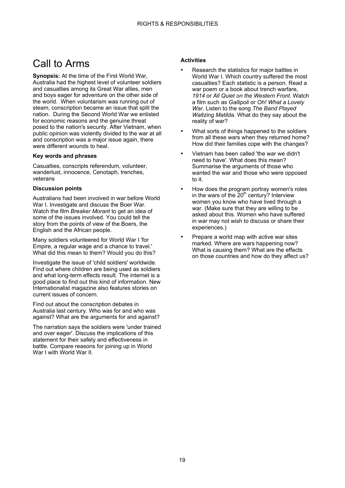### Call to Arms

**Synopsis:** At the time of the First World War, Australia had the highest level of volunteer soldiers and casualties among its Great War allies, men and boys eager for adventure on the other side of the world. When voluntarism was running out of steam, conscription became an issue that split the nation. During the Second World War we enlisted for economic reasons and the genuine threat posed to the nation's security. After Vietnam, when public opinion was violently divided to the war at all and conscription was a major issue again, there were different wounds to heal.

#### **Key words and phrases**

Casualties, conscripts referendum, volunteer, wanderlust, innocence, Cenotaph, trenches, veterans

#### **Discussion points**

Australians had been involved in war before World War I. Investigate and discuss the Boer War. Watch the film *Breaker Morant* to get an idea of some of the issues involved. You could tell the story from the points of view of the Boers, the English and the African people.

Many soldiers volunteered for World War I 'for Empire, a regular wage and a chance to travel.' What did this mean to them? Would you do this?

Investigate the issue of 'child soldiers' worldwide. Find out where children are being used as soldiers and what long-term effects result. The internet is a good place to find out this kind of information. New Internationalist magazine also features stories on current issues of concern.

Find out about the conscription debates in Australia last century. Who was for and who was against? What are the arguments for and against?

The narration says the soldiers were 'under trained and over eager'. Discuss the implications of this statement for their safety and effectiveness in battle. Compare reasons for joining up in World War I with World War II.

- Research the statistics for major battles in World War I. Which country suffered the most casualties? Each statistic is a person. Read a war poem or a book about trench warfare, *1914* or *All Quiet on the Western Front*. Watch a film such as *Gallipoli* or *Oh! What a Lovely War*. Listen to the song *The Band Played Waltzing Matilda*. What do they say about the reality of war?
- What sorts of things happened to the soldiers from all these wars when they returned home? How did their families cope with the changes?
- Vietnam has been called 'the war we didn't need to have'. What does this mean? Summarise the arguments of those who wanted the war and those who were opposed to it.
- How does the program portray women's roles in the wars of the  $20<sup>th</sup>$  century? Interview women you know who have lived through a war. (Make sure that they are willing to be asked about this. Women who have suffered in war may not wish to discuss or share their experiences.)
- Prepare a world map with active war sites marked. Where are wars happening now? What is causing them? What are the effects on those countries and how do they affect us?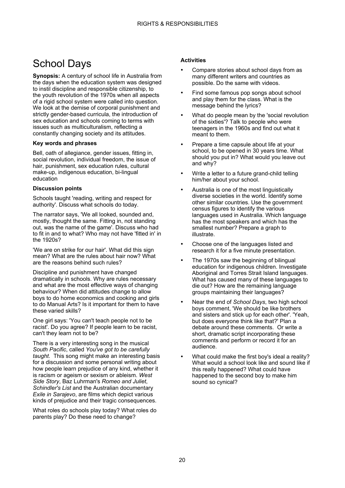### School Days

**Synopsis:** A century of school life in Australia from the days when the education system was designed to instil discipline and responsible citizenship, to the youth revolution of the 1970s when all aspects of a rigid school system were called into question. We look at the demise of corporal punishment and strictly gender-based curricula, the introduction of sex education and schools coming to terms with issues such as multiculturalism, reflecting a constantly changing society and its attitudes.

#### **Key words and phrases**

Bell, oath of allegiance, gender issues, fitting in, social revolution, individual freedom, the issue of hair, punishment, sex education rules, cultural make-up, indigenous education, bi-lingual education

#### **Discussion points**

Schools taught 'reading, writing and respect for authority'. Discuss what schools do today.

The narrator says, 'We all looked, sounded and, mostly, thought the same. Fitting in, not standing out, was the name of the game'. Discuss who had to fit in and to what? Who may not have 'fitted in' in the 1920s?

'We are on strike for our hair'. What did this sign mean? What are the rules about hair now? What are the reasons behind such rules?

Discipline and punishment have changed dramatically in schools. Why are rules necessary and what are the most effective ways of changing behaviour? When did attitudes change to allow boys to do home economics and cooking and girls to do Manual Arts? Is it important for them to have these varied skills?

One girl says: 'You can't teach people not to be racist'. Do you agree? If people learn to be racist, can't they learn not to be?

There is a very interesting song in the musical *South Pacific*, called *You've got to be carefully taught*. This song might make an interesting basis for a discussion and some personal writing about how people learn prejudice of any kind, whether it is racism or ageism or sexism or ableism. *West Side Story*, Baz Luhrman's *Romeo and Juliet*, *Schindler's List* and the Australian documentary *Exile in Sarajevo*, are films which depict various kinds of prejudice and their tragic consequences.

What roles do schools play today? What roles do parents play? Do these need to change?

- Compare stories about school days from as many different writers and countries as possible. Do the same with videos.
- Find some famous pop songs about school and play them for the class. What is the message behind the lyrics?
- What do people mean by the 'social revolution of the sixties'? Talk to people who were teenagers in the 1960s and find out what it meant to them.
- Prepare a time capsule about life at your school, to be opened in 30 years time. What should you put in? What would you leave out and why?
- Write a letter to a future grand-child telling him/her about your school.
- Australia is one of the most linguistically diverse societies in the world. Identify some other similar countries. Use the government census figures to identify the various languages used in Australia. Which language has the most speakers and which has the smallest number? Prepare a graph to illustrate.
- Choose one of the languages listed and research it for a five minute presentation.
- The 1970s saw the beginning of bilingual education for indigenous children. Investigate Aboriginal and Torres Strait Island languages. What has caused many of these languages to die out? How are the remaining language groups maintaining their languages?
- Near the end of *School Days*, two high school boys comment, 'We should be like brothers and sisters and stick up for each other'. 'Yeah, but does everyone think like that?' Plan a debate around these comments. Or write a short, dramatic script incorporating these comments and perform or record it for an audience.
- What could make the first boy's ideal a reality? What would a school look like and sound like if this really happened? What could have happened to the second boy to make him sound so cynical?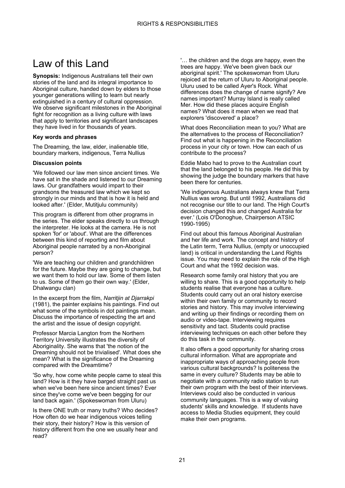### Law of this Land

**Synopsis:** Indigenous Australians tell their own stories of the land and its integral importance to Aboriginal culture, handed down by elders to those younger generations willing to learn but nearly extinguished in a century of cultural oppression. We observe significant milestones in the Aboriginal fight for recognition as a living culture with laws that apply to territories and significant landscapes they have lived in for thousands of years.

#### **Key words and phrases**

The Dreaming, the law, elder, inalienable title, boundary markers, indigenous, Terra Nullius

#### **Discussion points**

'We followed our law men since ancient times. We have sat in the shade and listened to our Dreaming laws. Our grandfathers would impart to their grandsons the treasured law which we kept so strongly in our minds and that is how it is held and looked after.' (Elder, Mutitjulu community)

This program is different from other programs in the series. The elder speaks directly to us through the interpreter. He looks at the camera. He is not spoken 'for' or 'about'. What are the differences between this kind of reporting and film about Aboriginal people narrated by a non-Aboriginal person?

'We are teaching our children and grandchildren for the future. Maybe they are going to change, but we want them to hold our law. Some of them listen to us. Some of them go their own way.' (Elder, Dhalwangu clan)

In the excerpt from the film, *Narritjin at Djarrakpi* (1981), the painter explains his paintings. Find out what some of the symbols in dot paintings mean. Discuss the importance of respecting the art and the artist and the issue of design copyright.

Professor Marcia Langton from the Northern Territory University illustrates the diversity of Aboriginality. She warns that 'the notion of the Dreaming should not be trivialised'. What does she mean? What is the significance of the Dreaming compared with the Dreamtime?

'So why, how come white people came to steal this land? How is it they have barged straight past us when we've been here since ancient times? Ever since they've come we've been begging for our land back again.' (Spokeswoman from Uluru)

Is there ONE truth or many truths? Who decides? How often do we hear indigenous voices telling their story, their history? How is this version of history different from the one we usually hear and read?

'… the children and the dogs are happy, even the trees are happy. We've been given back our aboriginal spirit.' The spokeswoman from Uluru rejoiced at the return of Uluru to Aboriginal people. Uluru used to be called Ayer's Rock. What differences does the change of name signify? Are names important? Murray Island is really called Mer. How did these places acquire English names? What does it mean when we read that explorers 'discovered' a place?

What does Reconciliation mean to you? What are the alternatives to the process of Reconciliation? Find out what is happening in the Reconciliation process in your city or town. How can each of us contribute to the process?

Eddie Mabo had to prove to the Australian court that the land belonged to his people. He did this by showing the judge the boundary markers that have been there for centuries.

'We indigenous Australians always knew that Terra Nullius was wrong. But until 1992, Australians did not recognise our title to our land. The High Court's decision changed this and changed Australia for ever.' (Lois O'Donoghue, Chairperson ATSIC 1990-1995)

Find out about this famous Aboriginal Australian and her life and work. The concept and history of the Latin term, Terra Nullius, (empty or unoccupied land) is critical in understanding the Land Rights issue. You may need to explain the role of the High Court and what the 1992 decision was.

Research some family oral history that you are willing to share. This is a good opportunity to help students realise that everyone has a culture. Students could carry out an oral history exercise within their own family or community to record stories and history. This may involve interviewing and writing up their findings or recording them on audio or video-tape. Interviewing requires sensitivity and tact. Students could practise interviewing techniques on each other before they do this task in the community.

It also offers a good opportunity for sharing cross cultural information. What are appropriate and inappropriate ways of approaching people from various cultural backgrounds? Is politeness the same in every culture? Students may be able to negotiate with a community radio station to run their own program with the best of their interviews. Interviews could also be conducted in various community languages. This is a way of valuing students' skills and knowledge. If students have access to Media Studies equipment, they could make their own programs.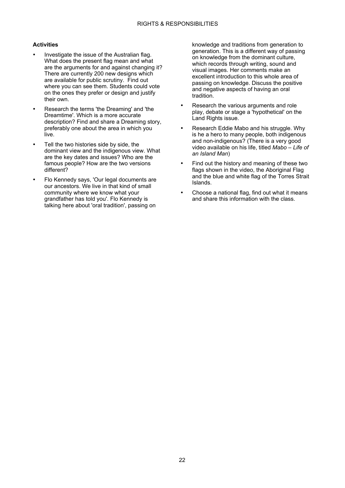#### **Activities**

- Investigate the issue of the Australian flag. What does the present flag mean and what are the arguments for and against changing it? There are currently 200 new designs which are available for public scrutiny. Find out where you can see them. Students could vote on the ones they prefer or design and justify their own.
- Research the terms 'the Dreaming' and 'the Dreamtime'. Which is a more accurate description? Find and share a Dreaming story, preferably one about the area in which you live.
- Tell the two histories side by side, the dominant view and the indigenous view. What are the key dates and issues? Who are the famous people? How are the two versions different?
- Flo Kennedy says, 'Our legal documents are our ancestors. We live in that kind of small community where we know what your grandfather has told you'. Flo Kennedy is talking here about 'oral tradition', passing on

knowledge and traditions from generation to generation. This is a different way of passing on knowledge from the dominant culture, which records through writing, sound and visual images. Her comments make an excellent introduction to this whole area of passing on knowledge. Discuss the positive and negative aspects of having an oral tradition.

- Research the various arguments and role play, debate or stage a 'hypothetical' on the Land Rights issue.
- Research Eddie Mabo and his struggle. Why is he a hero to many people, both indigenous and non-indigenous? (There is a very good video available on his life, titled *Mabo – Life of an Island Man*)
- Find out the history and meaning of these two flags shown in the video, the Aboriginal Flag and the blue and white flag of the Torres Strait Islands.
- Choose a national flag, find out what it means and share this information with the class.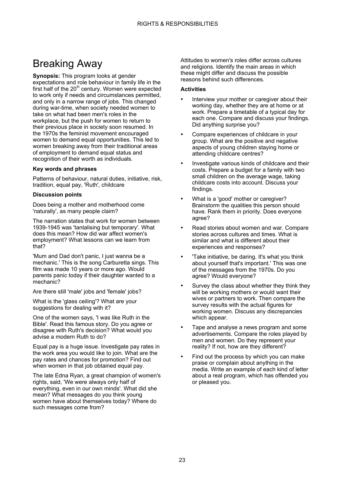### Breaking Away

**Synopsis:** This program looks at gender expectations and role behaviour in family life in the first half of the  $20<sup>th</sup>$  century. Women were expected to work only if needs and circumstances permitted, and only in a narrow range of jobs. This changed during war-time, when society needed women to take on what had been men's roles in the workplace, but the push for women to return to their previous place in society soon resumed. In the 1970s the feminist movement encouraged women to demand equal opportunities. This led to women breaking away from their traditional areas of employment to demand equal status and recognition of their worth as individuals.

#### **Key words and phrases**

Patterns of behaviour, natural duties, initiative, risk, tradition, equal pay, 'Ruth', childcare

#### **Discussion points**

Does being a mother and motherhood come 'naturally', as many people claim?

The narration states that work for women between 1939-1945 was 'tantalising but temporary'. What does this mean? How did war affect women's employment? What lessons can we learn from that?

'Mum and Dad don't panic, I just wanna be a mechanic.' This is the song Carburetta sings. This film was made 10 years or more ago. Would parents panic today if their daughter wanted to a mechanic?

Are there still 'male' jobs and 'female' jobs?

What is the 'glass ceiling'? What are your suggestions for dealing with it?

One of the women says, 'I was like Ruth in the Bible'. Read this famous story. Do you agree or disagree with Ruth's decision? What would you advise a modern Ruth to do?

Equal pay is a huge issue. Investigate pay rates in the work area you would like to join. What are the pay rates and chances for promotion? Find out when women in that job obtained equal pay.

The late Edna Ryan, a great champion of women's rights, said, 'We were always only half of everything, even in our own minds'. What did she mean? What messages do you think young women have about themselves today? Where do such messages come from?

Attitudes to women's roles differ across cultures and religions. Identify the main areas in which these might differ and discuss the possible reasons behind such differences.

- Interview your mother or caregiver about their working day, whether they are at home or at work. Prepare a timetable of a typical day for each one. Compare and discuss your findings. Did anything surprise you?
- Compare experiences of childcare in your group. What are the positive and negative aspects of young children staying home or attending childcare centres?
- Investigate various kinds of childcare and their costs. Prepare a budget for a family with two small children on the average wage, taking childcare costs into account. Discuss your findings.
- What is a 'good' mother or caregiver? Brainstorm the qualities this person should have. Rank them in priority. Does everyone agree?
- Read stories about women and war. Compare stories across cultures and times. What is similar and what is different about their experiences and responses?
- 'Take initiative, be daring. It's what you think about yourself that's important.' This was one of the messages from the 1970s. Do you agree? Would everyone?
- Survey the class about whether they think they will be working mothers or would want their wives or partners to work. Then compare the survey results with the actual figures for working women. Discuss any discrepancies which appear.
- Tape and analyse a news program and some advertisements. Compare the roles played by men and women. Do they represent your reality? If not, how are they different?
- Find out the process by which you can make praise or complain about anything in the media. Write an example of each kind of letter about a real program, which has offended you or pleased you.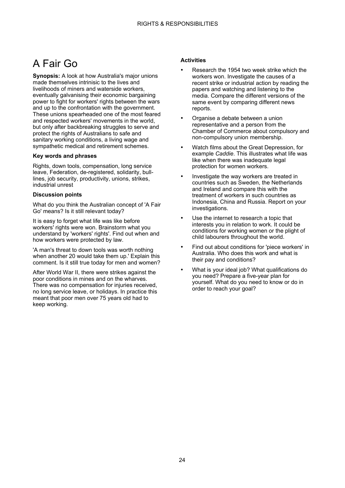### A Fair Go

**Synopsis:** A look at how Australia's major unions made themselves intrinisic to the lives and livelihoods of miners and waterside workers, eventually galvanising their economic bargaining power to fight for workers' rights between the wars and up to the confrontation with the government. These unions spearheaded one of the most feared and respected workers' movements in the world, but only after backbreaking struggles to serve and protect the rights of Australians to safe and sanitary working conditions, a living wage and sympathetic medical and retirement schemes.

#### **Key words and phrases**

Rights, down tools, compensation, long service leave, Federation, de-registered, solidarity, bulllines, job security, productivity, unions, strikes, industrial unrest

#### **Discussion points**

What do you think the Australian concept of 'A Fair Go' means? Is it still relevant today?

It is easy to forget what life was like before workers' rights were won. Brainstorm what you understand by 'workers' rights'. Find out when and how workers were protected by law.

'A man's threat to down tools was worth nothing when another 20 would take them up.' Explain this comment. Is it still true today for men and women?

After World War II, there were strikes against the poor conditions in mines and on the wharves. There was no compensation for injuries received, no long service leave, or holidays. In practice this meant that poor men over 75 years old had to keep working.

- Research the 1954 two week strike which the workers won. Investigate the causes of a recent strike or industrial action by reading the papers and watching and listening to the media. Compare the different versions of the same event by comparing different news reports.
- Organise a debate between a union representative and a person from the Chamber of Commerce about compulsory and non-compulsory union membership.
- Watch films about the Great Depression, for example *Caddie*. This illustrates what life was like when there was inadequate legal protection for women workers.
- Investigate the way workers are treated in countries such as Sweden, the Netherlands and Ireland and compare this with the treatment of workers in such countries as Indonesia, China and Russia. Report on your investigations.
- Use the internet to research a topic that interests you in relation to work. It could be conditions for working women or the plight of child labourers throughout the world.
- Find out about conditions for 'piece workers' in Australia. Who does this work and what is their pay and conditions?
- What is your ideal job? What qualifications do you need? Prepare a five-year plan for yourself. What do you need to know or do in order to reach your goal?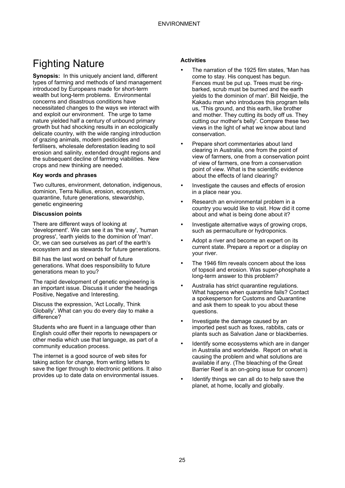### Fighting Nature

**Synopsis:** In this uniquely ancient land, different types of farming and methods of land management introduced by Europeans made for short-term wealth but long-term problems. Environmental concerns and disastrous conditions have necessitated changes to the ways we interact with and exploit our environment. The urge to tame nature yielded half a century of unbound primary growth but had shocking results in an ecologically delicate country, with the wide ranging introduction of grazing animals, modern pesticides and fertilisers, wholesale deforestation leading to soil erosion and salinity, extended drought regions and the subsequent decline of farming viabilities. New crops and new thinking are needed.

#### **Key words and phrases**

Two cultures, environment, detonation, indigenous, dominion, Terra Nullius, erosion, ecosystem, quarantine, future generations, stewardship, genetic engineering

#### **Discussion points**

There are different ways of looking at 'development'. We can see it as 'the way', 'human progress', 'earth yields to the dominion of 'man'. Or, we can see ourselves as part of the earth's ecosystem and as stewards for future generations.

Bill has the last word on behalf of future generations. What does responsibility to future generations mean to you?

The rapid development of genetic engineering is an important issue. Discuss it under the headings Positive, Negative and Interesting.

Discuss the expression, 'Act Locally, Think Globally'. What can you do every day to make a difference?

Students who are fluent in a language other than English could offer their reports to newspapers or other media which use that language, as part of a community education process.

The internet is a good source of web sites for taking action for change, from writing letters to save the tiger through to electronic petitions. It also provides up to date data on environmental issues.

- The narration of the 1925 film states, 'Man has come to stay. His conquest has begun. Fences must be put up. Trees must be ringbarked, scrub must be burned and the earth yields to the dominion of man'. Bill Neidjie, the Kakadu man who introduces this program tells us, 'This ground, and this earth, like brother and mother. They cutting its body off us. They cutting our mother's belly'. Compare these two views in the light of what we know about land conservation.
- Prepare short commentaries about land clearing in Australia, one from the point of view of farmers, one from a conservation point of view of farmers, one from a conservation point of view. What is the scientific evidence about the effects of land clearing?
- Investigate the causes and effects of erosion in a place near you.
- Research an environmental problem in a country you would like to visit. How did it come about and what is being done about it?
- Investigate alternative ways of growing crops, such as permaculture or hydroponics.
- Adopt a river and become an expert on its current state. Prepare a report or a display on your river.
- The 1946 film reveals concern about the loss of topsoil and erosion. Was super-phosphate a long-term answer to this problem?
- Australia has strict quarantine regulations. What happens when quarantine fails? Contact a spokesperson for Customs and Quarantine and ask them to speak to you about these questions.
- Investigate the damage caused by an imported pest such as foxes, rabbits, cats or plants such as Salvation Jane or blackberries.
- Identify some ecosystems which are in danger in Australia and worldwide. Report on what is causing the problem and what solutions are available if any. (The bleaching of the Great Barrier Reef is an on-going issue for concern)
- Identify things we can all do to help save the planet, at home, locally and globally.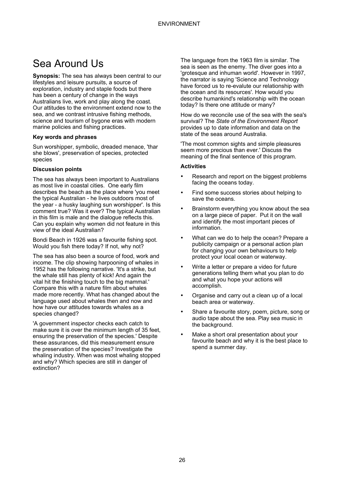### Sea Around Us

**Synopsis:** The sea has always been central to our lifestyles and leisure pursuits, a source of exploration, industry and staple foods but there has been a century of change in the ways Australians live, work and play along the coast. Our attitudes to the environment extend now to the sea. and we contrast intrusive fishing methods, science and tourism of bygone eras with modern marine policies and fishing practices.

#### **Key words and phrases**

Sun worshipper, symbolic, dreaded menace, 'thar she blows', preservation of species, protected species

#### **Discussion points**

The sea has always been important to Australians as most live in coastal cities. One early film describes the beach as the place where 'you meet the typical Australian - he lives outdoors most of the year - a husky laughing sun worshipper'. Is this comment true? Was it ever? The typical Australian in this film is male and the dialogue reflects this. Can you explain why women did not feature in this view of the ideal Australian?

Bondi Beach in 1926 was a favourite fishing spot. Would you fish there today? If not, why not?

The sea has also been a source of food, work and income. The clip showing harpooning of whales in 1952 has the following narrative. 'It's a strike, but the whale still has plenty of kick! And again the vital hit the finishing touch to the big mammal.' Compare this with a nature film about whales made more recently. What has changed about the language used about whales then and now and how have our attitudes towards whales as a species changed?

'A government inspector checks each catch to make sure it is over the minimum length of 35 feet, ensuring the preservation of the species.' Despite these assurances, did this measurement ensure the preservation of the species? Investigate the whaling industry. When was most whaling stopped and why? Which species are still in danger of extinction?

The language from the 1963 film is similar. The sea is seen as the enemy. The diver goes into a 'grotesque and inhuman world'. However in 1997, the narrator is saying 'Science and Technology have forced us to re-evalute our relationship with the ocean and its resources'. How would you describe humankind's relationship with the ocean today? Is there one attitude or many?

How do we reconcile use of the sea with the sea's survival? The *State of the Environment Report* provides up to date information and data on the state of the seas around Australia.

'The most common sights and simple pleasures seem more precious than ever.' Discuss the meaning of the final sentence of this program.

- Research and report on the biggest problems facing the oceans today.
- Find some success stories about helping to save the oceans.
- Brainstorm everything you know about the sea on a large piece of paper. Put it on the wall and identify the most important pieces of information.
- What can we do to help the ocean? Prepare a publicity campaign or a personal action plan for changing your own behaviours to help protect your local ocean or waterway.
- Write a letter or prepare a video for future generations telling them what you plan to do and what you hope your actions will accomplish.
- Organise and carry out a clean up of a local beach area or waterway.
- Share a favourite story, poem, picture, song or audio tape about the sea. Play sea music in the background.
- Make a short oral presentation about your favourite beach and why it is the best place to spend a summer day.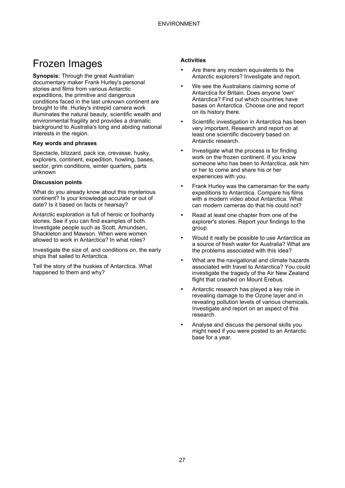### Frozen Images

**Synopsis:** Through the great Australian documentary maker Frank Hurley's personal stories and films from various Antarctic expeditions, the primitive and dangerous conditions faced in the last unknown continent are brought to life. Hurley's intrepid camera work illuminates the natural beauty, scientific wealth and environmental fragility and provides a dramatic background to Australia's long and abiding national interests in the region.

#### **Key words and phrases**

Spectacle, blizzard, pack ice, crevasse, husky, explorers, continent, expedition, howling, bases, sector, grim conditions, winter quarters, parts unknown

#### **Discussion points**

What do you already know about this mysterious continent? Is your knowledge accurate or out of date? Is it based on facts or hearsay?

Antarctic exploration is full of heroic or foolhardy stories. See if you can find examples of both. Investigate people such as Scott, Amundsen, Shackleton and Mawson. When were women allowed to work in Antarctica? In what roles?

Investigate the size of, and conditions on, the early ships that sailed to Antarctica.

Tell the story of the huskies of Antarctica. What happened to them and why?

- Are there any modern equivalents to the Antarctic explorers? Investigate and report.
- We see the Australians claiming some of Antarctica for Britain. Does anyone 'own' Antarctica? Find out which countries have bases on Antarctica. Choose one and report on its history there.
- Scientific investigation in Antarctica has been very important. Research and report on at least one scientific discovery based on Antarctic research.
- Investigate what the process is for finding work on the frozen continent. If you know someone who has been to Antarctica, ask him or her to come and share his or her experiences with you.
- Frank Hurley was the cameraman for the early expeditions to Antarctica. Compare his films with a modern video about Antarctica. What can modern cameras do that his could not?
- Read at least one chapter from one of the explorer's stories. Report your findings to the group.
- Would it really be possible to use Antarctica as a source of fresh water for Australia? What are the problems associated with this idea?
- What are the navigational and climate hazards associated with travel to Antarctica? You could investigate the tragedy of the Air New Zealand flight that crashed on Mount Erebus.
- Antarctic research has played a key role in revealing damage to the Ozone layer and in revealing pollution levels of various chemicals. Investigate and report on an aspect of this research.
- Analyse and discuss the personal skills you might need if you were posted to an Antarctic base for a year.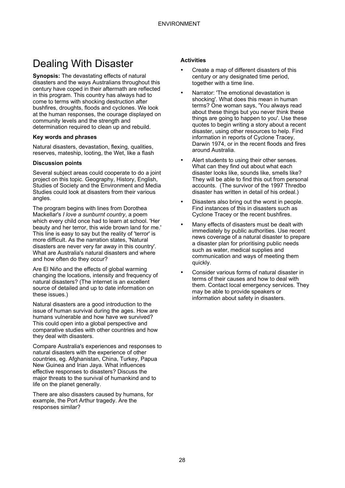### Dealing With Disaster

**Synopsis:** The devastating effects of natural disasters and the ways Australians throughout this century have coped in their aftermath are reflected in this program. This country has always had to come to terms with shocking destruction after bushfires, droughts, floods and cyclones. We look at the human responses, the courage displayed on community levels and the strength and determination required to clean up and rebuild.

#### **Key words and phrases**

Natural disasters, devastation, flexing, qualities, reserves, mateship, looting, the Wet, like a flash

#### **Discussion points**

Several subject areas could cooperate to do a joint project on this topic. Geography, History, English, Studies of Society and the Environment and Media Studies could look at disasters from their various angles.

The program begins with lines from Dorothea Mackellar's *I love a sunburnt country*, a poem which every child once had to learn at school. 'Her beauty and her terror, this wide brown land for me.' This line is easy to say but the reality of 'terror' is more difficult. As the narration states, 'Natural disasters are never very far away in this country'. What are Australia's natural disasters and where and how often do they occur?

Are El Niño and the effects of global warming changing the locations, intensity and frequency of natural disasters? (The internet is an excellent source of detailed and up to date information on these issues.)

Natural disasters are a good introduction to the issue of human survival during the ages. How are humans vulnerable and how have we survived? This could open into a global perspective and comparative studies with other countries and how they deal with disasters.

Compare Australia's experiences and responses to natural disasters with the experience of other countries, eg. Afghanistan, China, Turkey, Papua New Guinea and Irian Jaya. What influences effective responses to disasters? Discuss the major threats to the survival of humankind and to life on the planet generally.

There are also disasters caused by humans, for example, the Port Arthur tragedy. Are the responses similar?

- Create a map of different disasters of this century or any designated time period, together with a time line.
- Narrator: 'The emotional devastation is shocking'. What does this mean in human terms? One woman says, 'You always read about these things but you never think these things are going to happen to you'. Use these quotes to begin writing a story about a recent disaster, using other resources to help. Find information in reports of Cyclone Tracey, Darwin 1974, or in the recent floods and fires around Australia.
- Alert students to using their other senses. What can they find out about what each disaster looks like, sounds like, smells like? They will be able to find this out from personal accounts. (The survivor of the 1997 Thredbo disaster has written in detail of his ordeal.)
- Disasters also bring out the worst in people. Find instances of this in disasters such as Cyclone Tracey or the recent bushfires.
- Many effects of disasters must be dealt with immediately by public authorities. Use recent news coverage of a natural disaster to prepare a disaster plan for prioritising public needs such as water, medical supplies and communication and ways of meeting them quickly.
- Consider various forms of natural disaster in terms of their causes and how to deal with them. Contact local emergency services. They may be able to provide speakers or information about safety in disasters.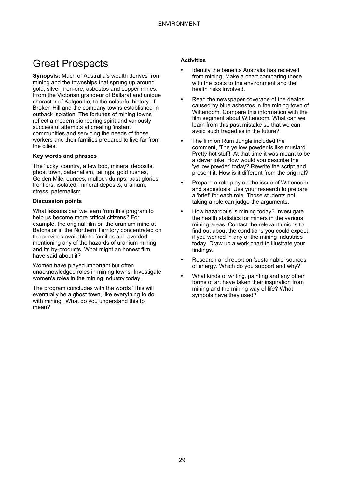### Great Prospects

**Synopsis:** Much of Australia's wealth derives from mining and the townships that sprung up around gold, silver, iron-ore, asbestos and copper mines. From the Victorian grandeur of Ballarat and unique character of Kalgoorlie, to the colourful history of Broken Hill and the company towns established in outback isolation. The fortunes of mining towns reflect a modern pioneering spirit and variously successful attempts at creating 'instant' communities and servicing the needs of those workers and their families prepared to live far from the cities.

#### **Key words and phrases**

The 'lucky' country, a few bob, mineral deposits, ghost town, paternalism, tailings, gold rushes, Golden Mile, ounces, mullock dumps, past glories, frontiers, isolated, mineral deposits, uranium, stress, paternalism

#### **Discussion points**

What lessons can we learn from this program to help us become more critical citizens? For example, the original film on the uranium mine at Batchelor in the Northern Territory concentrated on the services available to families and avoided mentioning any of the hazards of uranium mining and its by-products. What might an honest film have said about it?

Women have played important but often unacknowledged roles in mining towns. Investigate women's roles in the mining industry today.

The program concludes with the words 'This will eventually be a ghost town, like everything to do with mining'. What do you understand this to mean?

- Identify the benefits Australia has received from mining. Make a chart comparing these with the costs to the environment and the health risks involved.
- Read the newspaper coverage of the deaths caused by blue asbestos in the mining town of Wittenoom. Compare this information with the film segment about Wittenoom. What can we learn from this past mistake so that we can avoid such tragedies in the future?
- The film on Rum Jungle included the comment, 'The yellow powder is like mustard. Pretty hot stuff!' At that time it was meant to be a clever joke. How would you describe the 'yellow powder' today? Rewrite the script and present it. How is it different from the original?
- Prepare a role-play on the issue of Wittenoom and asbestosis. Use your research to prepare a 'brief' for each role. Those students not taking a role can judge the arguments.
- How hazardous is mining today? Investigate the health statistics for miners in the various mining areas. Contact the relevant unions to find out about the conditions you could expect if you worked in any of the mining industries today. Draw up a work chart to illustrate your findings.
- Research and report on 'sustainable' sources of energy. Which do you support and why?
- What kinds of writing, painting and any other forms of art have taken their inspiration from mining and the mining way of life? What symbols have they used?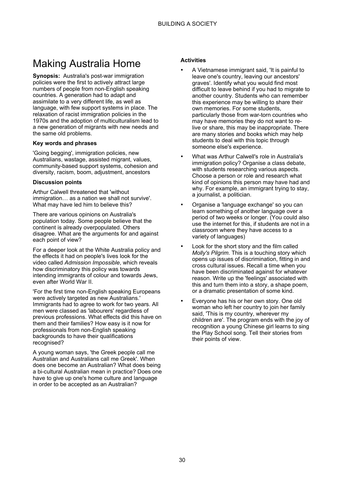### Making Australia Home

**Synopsis:** Australia's post-war immigration policies were the first to actively attract large numbers of people from non-English speaking countries. A generation had to adapt and assimilate to a very different life, as well as language, with few support systems in place. The relaxation of racist immigration policies in the 1970s and the adoption of multiculturalism lead to a new generation of migrants with new needs and the same old problems.

#### **Key words and phrases**

'Going begging', immigration policies, new Australians, wastage, assisted migrant, values, community-based support systems, cohesion and diversity, racism, boom, adjustment, ancestors

#### **Discussion points**

Arthur Calwell threatened that 'without immigration… as a nation we shall not survive'. What may have led him to believe this?

There are various opinions on Australia's population today. Some people believe that the continent is already overpopulated. Others disagree. What are the arguments for and against each point of view?

For a deeper look at the White Australia policy and the effects it had on people's lives look for the video called *Admission Impossible*, which reveals how discriminatory this policy was towards intending immigrants of colour and towards Jews, even after World War II.

'For the first time non-English speaking Europeans were actively targeted as new Australians.' Immigrants had to agree to work for two years. All men were classed as 'labourers' regardless of previous professions. What effects did this have on them and their families? How easy is it now for professionals from non-English speaking backgrounds to have their qualifications recognised?

A young woman says, 'the Greek people call me Australian and Australians call me Greek'. When does one become an Australian? What does being a bi-cultural Australian mean in practice? Does one have to give up one's home culture and language in order to be accepted as an Australian?

- A Vietnamese immigrant said, 'It is painful to leave one's country, leaving our ancestors' graves'. Identify what you would find most difficult to leave behind if you had to migrate to another country. Students who can remember this experience may be willing to share their own memories. For some students, particularly those from war-torn countries who may have memories they do not want to relive or share, this may be inappropriate. There are many stories and books which may help students to deal with this topic through someone else's experience.
- What was Arthur Calwell's role in Australia's immigration policy? Organise a class debate, with students researching various aspects. Choose a person or role and research what kind of opinions this person may have had and why. For example, an immigrant trying to stay, a journalist, a politician.
- Organise a 'language exchange' so you can learn something of another language over a period of two weeks or longer. (You could also use the internet for this, if students are not in a classroom where they have access to a variety of languages)
- Look for the short story and the film called *Molly's Pilgrim*. This is a touching story which opens up issues of discrimination, fitting in and cross cultural issues. Recall a time when you have been discriminated against for whatever reason. Write up the 'feelings' associated with this and turn them into a story, a shape poem, or a dramatic presentation of some kind.
- Everyone has his or her own story. One old woman who left her country to join her family said, 'This is my country, wherever my children are'. The program ends with the joy of recognition a young Chinese girl learns to sing the Play School song. Tell their stories from their points of view.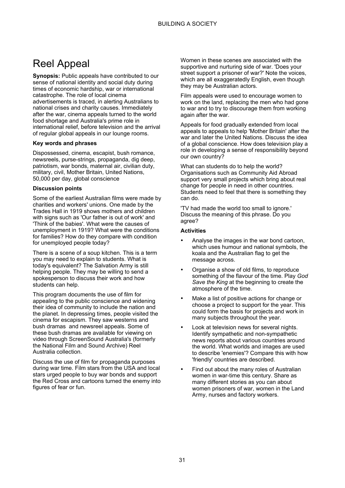### Reel Appeal

**Synopsis:** Public appeals have contributed to our sense of national identity and social duty during times of economic hardship, war or international catastrophe. The role of local cinema advertisements is traced, in alerting Australians to national crises and charity causes. Immediately after the war, cinema appeals turned to the world food shortage and Australia's prime role in international relief, before television and the arrival of regular global appeals in our lounge rooms.

#### **Key words and phrases**

Dispossessed, cinema, escapist, bush romance, newsreels, purse-strings, propaganda, dig deep, patriotism, war bonds, maternal air, civilian duty, military, civil, Mother Britain, United Nations, 50,000 per day, global conscience

#### **Discussion points**

Some of the earliest Australian films were made by charities and workers' unions. One made by the Trades Hall in 1919 shows mothers and children with signs such as 'Our father is out of work' and 'Think of the babies'. What were the causes of unemployment in 1919? What were the conditions for families? How do they compare with condition for unemployed people today?

There is a scene of a soup kitchen. This is a term you may need to explain to students. What is today's equivalent? The Salvation Army is still helping people. They may be willing to send a spokesperson to discuss their work and how students can help.

This program documents the use of film for appealing to the public conscience and widening their idea of community to include the nation and the planet. In depressing times, people visited the cinema for escapism. They saw westerns and bush dramas and newsreel appeals. Some of these bush dramas are available for viewing on video through ScreenSound Australia's (formerly the National Film and Sound Archive) Reel Australia collection.

Discuss the use of film for propaganda purposes during war time. Film stars from the USA and local stars urged people to buy war bonds and support the Red Cross and cartoons turned the enemy into figures of fear or fun.

Women in these scenes are associated with the supportive and nurturing side of war. 'Does your street support a prisoner of war?' Note the voices, which are all exaggeratedly English, even though they may be Australian actors.

Film appeals were used to encourage women to work on the land, replacing the men who had gone to war and to try to discourage them from working again after the war.

Appeals for food gradually extended from local appeals to appeals to help 'Mother Britain' after the war and later the United Nations. Discuss the idea of a global conscience. How does television play a role in developing a sense of responsibility beyond our own country?

What can students do to help the world? Organisations such as Community Aid Abroad support very small projects which bring about real change for people in need in other countries. Students need to feel that there is something they can do.

'TV had made the world too small to ignore.' Discuss the meaning of this phrase. Do you agree?

- Analyse the images in the war bond cartoon, which uses humour and national symbols, the koala and the Australian flag to get the message across.
- Organise a show of old films, to reproduce something of the flavour of the time. Play *God Save the King* at the beginning to create the atmosphere of the time.
- Make a list of positive actions for change or choose a project to support for the year. This could form the basis for projects and work in many subjects throughout the year.
- Look at television news for several nights. Identify sympathetic and non-sympathetic news reports about various countries around the world. What worlds and images are used to describe 'enemies'? Compare this with how 'friendly' countries are described.
- Find out about the many roles of Australian women in war-time this century. Share as many different stories as you can about women prisoners of war, women in the Land Army, nurses and factory workers.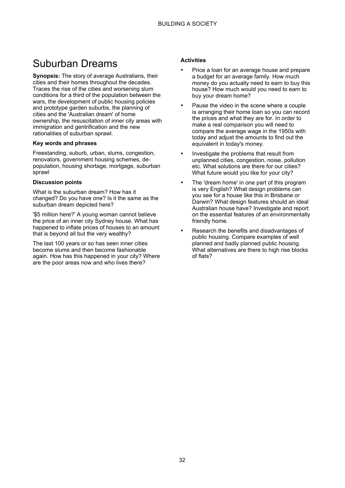### Suburban Dreams

**Synopsis:** The story of average Australians, their cities and their homes throughout the decades. Traces the rise of the cities and worsening slum conditions for a third of the population between the wars, the development of public housing policies and prototype garden suburbs, the planning of cities and the 'Australian dream' of home ownership, the resuscitation of inner city areas with immigration and gentrification and the new rationalities of suburban sprawl.

#### **Key words and phrases**

Freestanding, suburb, urban, slums, congestion, renovators, government housing schemes, depopulation, housing shortage, mortgage, suburban sprawl

#### **Discussion points**

What is the suburban dream? How has it changed? Do you have one? Is it the same as the suburban dream depicted here?

'\$5 million here?' A young woman cannot believe the price of an inner city Sydney house. What has happened to inflate prices of houses to an amount that is beyond all but the very wealthy?

The last 100 years or so has seen inner cities become slums and then become fashionable again. How has this happened in your city? Where are the poor areas now and who lives there?

- Price a loan for an average house and prepare a budget for an average family. How much money do you actually need to earn to buy this house? How much would you need to earn to buy your dream home?
- Pause the video in the scene where a couple is arranging their home loan so you can record the prices and what they are for. In order to make a real comparison you will need to compare the average wage in the 1950s with today and adjust the amounts to find out the equivalent in today's money.
- Investigate the problems that result from unplanned cities, congestion, noise, pollution etc. What solutions are there for our cities? What future would you like for your city?
- The 'dream home' in one part of this program is very English? What design problems can you see for a house like this in Brisbane or Darwin? What design features should an ideal Australian house have? Investigate and report on the essential features of an environmentally friendly home.
- Research the benefits and disadvantages of public housing. Compare examples of well planned and badly planned public housing. What alternatives are there to high rise blocks of flats?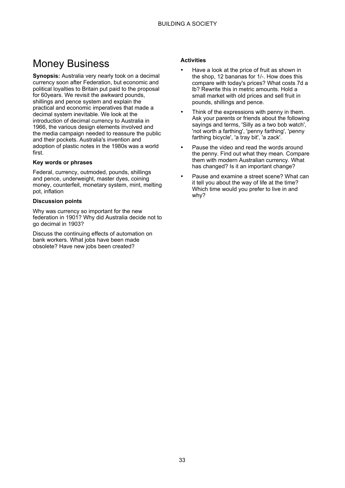### Money Business

**Synopsis:** Australia very nearly took on a decimal currency soon after Federation, but economic and political loyalties to Britain put paid to the proposal for 60years. We revisit the awkward pounds, shillings and pence system and explain the practical and economic imperatives that made a decimal system inevitable. We look at the introduction of decimal currency to Australia in 1966, the various design elements involved and the media campaign needed to reassure the public and their pockets. Australia's invention and adoption of plastic notes in the 1980s was a world first.

#### **Key words or phrases**

Federal, currency, outmoded, pounds, shillings and pence, underweight, master dyes, coining money, counterfeit, monetary system, mint, melting pot, inflation

#### **Discussion points**

Why was currency so important for the new federation in 1901? Why did Australia decide not to go decimal in 1903?

Discuss the continuing effects of automation on bank workers. What jobs have been made obsolete? Have new jobs been created?

- Have a look at the price of fruit as shown in the shop, 12 bananas for 1/-. How does this compare with today's prices? What costs 7d a lb? Rewrite this in metric amounts. Hold a small market with old prices and sell fruit in pounds, shillings and pence.
- Think of the expressions with penny in them. Ask your parents or friends about the following sayings and terms, 'Silly as a two bob watch', 'not worth a farthing', 'penny farthing', 'penny farthing bicycle', 'a tray bit', 'a zack'.
- Pause the video and read the words around the penny. Find out what they mean. Compare them with modern Australian currency. What has changed? Is it an important change?
- Pause and examine a street scene? What can it tell you about the way of life at the time? Which time would you prefer to live in and why?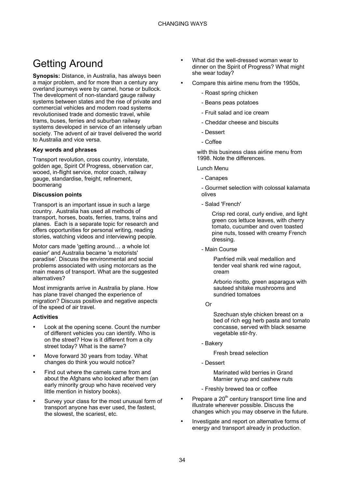### Getting Around

**Synopsis:** Distance, in Australia, has always been a major problem, and for more than a century any overland journeys were by camel, horse or bullock. The development of non-standard gauge railway systems between states and the rise of private and commercial vehicles and modern road systems revolutionised trade and domestic travel, while trams, buses, ferries and suburban railway systems developed in service of an intensely urban society. The advent of air travel delivered the world to Australia and vice versa.

#### **Key words and phrases**

Transport revolution, cross country, interstate, golden age, Spirit Of Progress, observation car, wooed, in-flight service, motor coach, railway gauge, standardise, freight, refinement, boomerang

#### **Discussion points**

Transport is an important issue in such a large country. Australia has used all methods of transport, horses, boats, ferries, trams, trains and planes. Each is a separate topic for research and offers opportunities for personal writing, reading stories, watching videos and interviewing people.

Motor cars made 'getting around… a whole lot easier' and Australia became 'a motorists' paradise'. Discuss the environmental and social problems associated with using motorcars as the main means of transport. What are the suggested alternatives?

Most immigrants arrive in Australia by plane. How has plane travel changed the experience of migration? Discuss positive and negative aspects of the speed of air travel.

#### **Activities**

- Look at the opening scene. Count the number of different vehicles you can identify. Who is on the street? How is it different from a city street today? What is the same?
- Move forward 30 years from today. What changes do think you would notice?
- Find out where the camels came from and about the Afghans who looked after them (an early minority group who have received very little mention in history books).
- Survey your class for the most unusual form of transport anyone has ever used, the fastest, the slowest, the scariest, etc.
- What did the well-dressed woman wear to dinner on the Spirit of Progress? What might she wear today?
- Compare this airline menu from the 1950s,
	- Roast spring chicken
	- Beans peas potatoes
	- Fruit salad and ice cream
	- Cheddar cheese and biscuits
	- Dessert
	- Coffee

with this business class airline menu from 1998. Note the differences.

- Lunch Menu
	- Canapes

- Gourmet selection with colossal kalamata olives

- Salad 'French'

Crisp red coral, curly endive, and light green cos lettuce leaves, with cherry tomato, cucumber and oven toasted pine nuts, tossed with creamy French dressing.

- Main Course

Panfried milk veal medallion and tender veal shank red wine ragout, cream

Arborio risotto, green asparagus with sauteed shitake mushrooms and sundried tomatoes

Or

Szechuan style chicken breast on a bed of rich egg herb pasta and tomato concasse, served with black sesame vegetable stir-fry.

- Bakery

Fresh bread selection

- Dessert

Marinated wild berries in Grand Marnier syrup and cashew nuts

- Freshly brewed tea or coffee
- Prepare a  $20<sup>th</sup>$  century transport time line and illustrate wherever possible. Discuss the changes which you may observe in the future.
- Investigate and report on alternative forms of energy and transport already in production.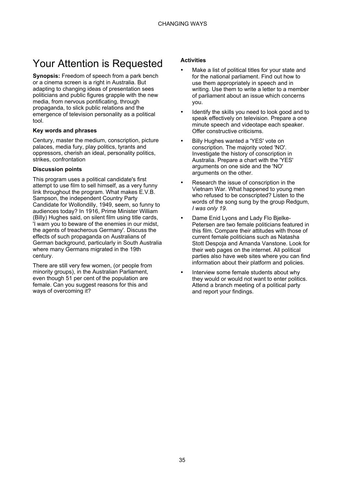### Your Attention is Requested

**Synopsis:** Freedom of speech from a park bench or a cinema screen is a right in Australia. But adapting to changing ideas of presentation sees politicians and public figures grapple with the new media, from nervous pontificating, through propaganda, to slick public relations and the emergence of television personality as a political tool.

#### **Key words and phrases**

Century, master the medium, conscription, picture palaces, media fury, play politics, tyrants and oppressors, cherish an ideal, personality politics, strikes, confrontation

#### **Discussion points**

This program uses a political candidate's first attempt to use film to sell himself, as a very funny link throughout the program. What makes E.V.B. Sampson, the independent Country Party Candidate for Wollondilly, 1949, seem, so funny to audiences today? In 1916, Prime Minister William (Billy) Hughes said, on silent film using title cards, 'I warn you to beware of the enemies in our midst, the agents of treacherous Germany'. Discuss the effects of such propaganda on Australians of German background, particularly in South Australia where many Germans migrated in the 19th century.

There are still very few women, (or people from minority groups), in the Australian Parliament. even though 51 per cent of the population are female. Can you suggest reasons for this and ways of overcoming it?

- Make a list of political titles for your state and for the national parliament. Find out how to use them appropriately in speech and in writing. Use them to write a letter to a member of parliament about an issue which concerns you.
- Identify the skills you need to look good and to speak effectively on television. Prepare a one minute speech and videotape each speaker. Offer constructive criticisms.
- Billy Hughes wanted a 'YES' vote on conscription. The majority voted 'NO'. Investigate the history of conscription in Australia. Prepare a chart with the 'YES' arguments on one side and the 'NO' arguments on the other.
- Research the issue of conscription in the Vietnam War. What happened to young men who refused to be conscripted? Listen to the words of the song sung by the group Redgum, *I was only 19*.
- Dame Enid Lyons and Lady Flo Bjelke-Petersen are two female politicians featured in this film. Compare their attitudes with those of current female politicians such as Natasha Stott Despoja and Amanda Vanstone. Look for their web pages on the internet. All political parties also have web sites where you can find information about their platform and policies.
- Interview some female students about why they would or would not want to enter politics. Attend a branch meeting of a political party and report your findings.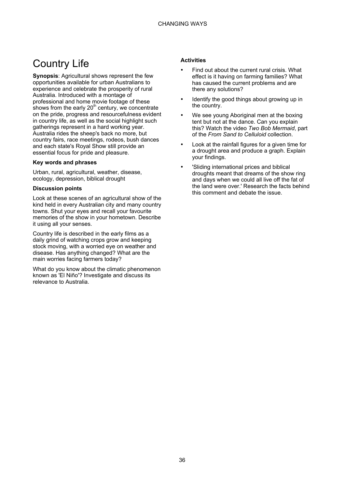### Country Life

**Synopsis**: Agricultural shows represent the few opportunities available for urban Australians to experience and celebrate the prosperity of rural Australia. Introduced with a montage of professional and home movie footage of these shows from the early  $20<sup>th</sup>$  century, we concentrate on the pride, progress and resourcefulness evident in country life, as well as the social highlight such gatherings represent in a hard working year. Australia rides the sheep's back no more, but country fairs, race meetings, rodeos, bush dances and each state's Royal Show still provide an essential focus for pride and pleasure.

#### **Key words and phrases**

Urban, rural, agricultural, weather, disease, ecology, depression, biblical drought

#### **Discussion points**

Look at these scenes of an agricultural show of the kind held in every Australian city and many country towns. Shut your eyes and recall your favourite memories of the show in your hometown. Describe it using all your senses.

Country life is described in the early films as a daily grind of watching crops grow and keeping stock moving, with a worried eye on weather and disease. Has anything changed? What are the main worries facing farmers today?

What do you know about the climatic phenomenon known as 'El Niño'? Investigate and discuss its relevance to Australia.

- Find out about the current rural crisis. What effect is it having on farming families? What has caused the current problems and are there any solutions?
- Identify the good things about growing up in the country.
- We see young Aboriginal men at the boxing tent but not at the dance. Can you explain this? Watch the video *Two Bob Mermaid*, part of the *From Sand to Celluloid* collection.
- Look at the rainfall figures for a given time for a drought area and produce a graph. Explain your findings.
- 'Sliding international prices and biblical droughts meant that dreams of the show ring and days when we could all live off the fat of the land were over.' Research the facts behind this comment and debate the issue.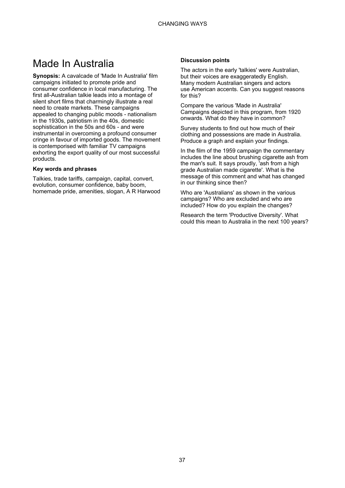### Made In Australia

**Synopsis:** A cavalcade of 'Made In Australia' film campaigns initiated to promote pride and consumer confidence in local manufacturing. The first all-Australian talkie leads into a montage of silent short films that charmingly illustrate a real need to create markets. These campaigns appealed to changing public moods - nationalism in the 1930s, patriotism in the 40s, domestic sophistication in the 50s and 60s - and were instrumental in overcoming a profound consumer cringe in favour of imported goods. The movement is contemporised with familiar TV campaigns exhorting the export quality of our most successful products.

#### **Key words and phrases**

Talkies, trade tariffs, campaign, capital, convert, evolution, consumer confidence, baby boom, homemade pride, amenities, slogan, A R Harwood

#### **Discussion points**

The actors in the early 'talkies' were Australian, but their voices are exaggeratedly English. Many modern Australian singers and actors use American accents. Can you suggest reasons for this?

Compare the various 'Made in Australia' Campaigns depicted in this program, from 1920 onwards. What do they have in common?

Survey students to find out how much of their clothing and possessions are made in Australia. Produce a graph and explain your findings.

In the film of the 1959 campaign the commentary includes the line about brushing cigarette ash from the man's suit. It says proudly, 'ash from a high grade Australian made cigarette'. What is the message of this comment and what has changed in our thinking since then?

Who are 'Australians' as shown in the various campaigns? Who are excluded and who are included? How do you explain the changes?

Research the term 'Productive Diversity'. What could this mean to Australia in the next 100 years?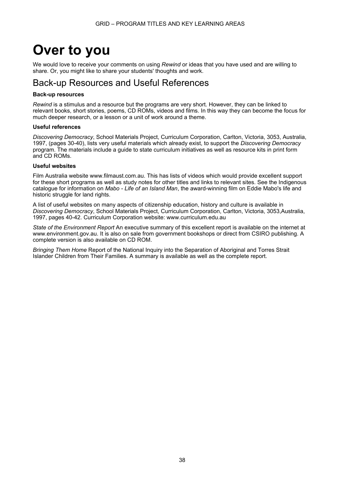## **Over to you**

We would love to receive your comments on using *Rewind* or ideas that you have used and are willing to share. Or, you might like to share your students' thoughts and work.

### Back-up Resources and Useful References

#### **Back-up resources**

*Rewind* is a stimulus and a resource but the programs are very short. However, they can be linked to relevant books, short stories, poems, CD ROMs, videos and films. In this way they can become the focus for much deeper research, or a lesson or a unit of work around a theme.

#### **Useful references**

*Discovering Democracy*, School Materials Project, Curriculum Corporation, Carlton, Victoria, 3053, Australia, 1997, (pages 30-40), lists very useful materials which already exist, to support the *Discovering Democracy* program. The materials include a guide to state curriculum initiatives as well as resource kits in print form and CD ROMs.

#### **Useful websites**

Film Australia website www.filmaust.com.au. This has lists of videos which would provide excellent support for these short programs as well as study notes for other titles and links to relevant sites. See the Indigenous catalogue for information on *Mabo - Life of an Island Man*, the award-winning film on Eddie Mabo's life and historic struggle for land rights.

A list of useful websites on many aspects of citizenship education, history and culture is available in *Discovering Democracy*, School Materials Project, Curriculum Corporation, Carlton, Victoria, 3053,Australia, 1997, pages 40-42. Curriculum Corporation website: www.curriculum.edu.au

*State of the Environment Report* An executive summary of this excellent report is available on the internet at www.environment.gov.au. It is also on sale from government bookshops or direct from CSIRO publishing. A complete version is also available on CD ROM.

*Bringing Them Home* Report of the National Inquiry into the Separation of Aboriginal and Torres Strait Islander Children from Their Families. A summary is available as well as the complete report.